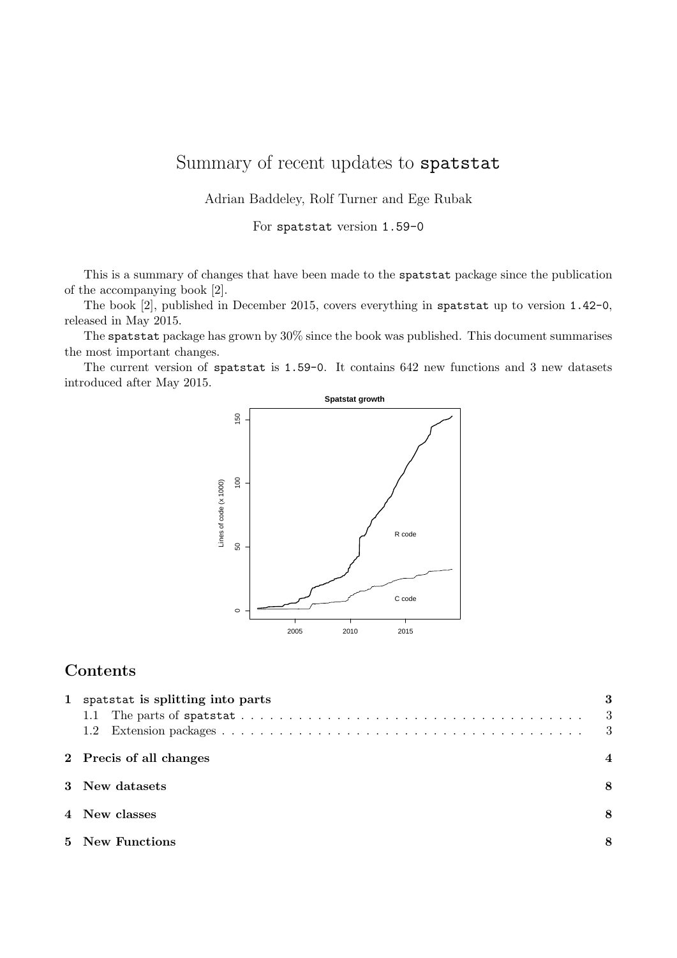# Summary of recent updates to spatstat

Adrian Baddeley, Rolf Turner and Ege Rubak

For spatstat version 1.59-0

This is a summary of changes that have been made to the spatstat package since the publication of the accompanying book [2].

The book [2], published in December 2015, covers everything in spatstat up to version 1.42-0, released in May 2015.

The spatstat package has grown by 30% since the book was published. This document summarises the most important changes.

The current version of spatstat is 1.59-0. It contains 642 new functions and 3 new datasets introduced after May 2015.



## Contents

| $\mathbf{1}$ | spatstat is splitting into parts | - 3<br>- 3 |
|--------------|----------------------------------|------------|
|              | 2 Precis of all changes          |            |
|              | 3 New datasets                   | 8          |
|              | 4 New classes                    | 8          |
|              | 5 New Functions                  | 8          |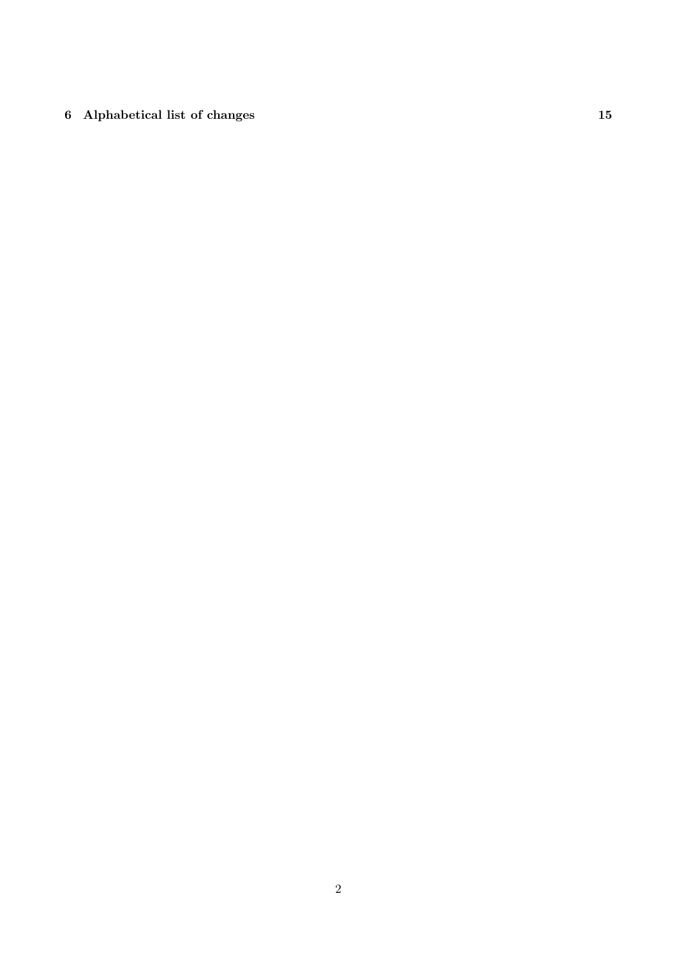# 6 Alphabetical list of changes 15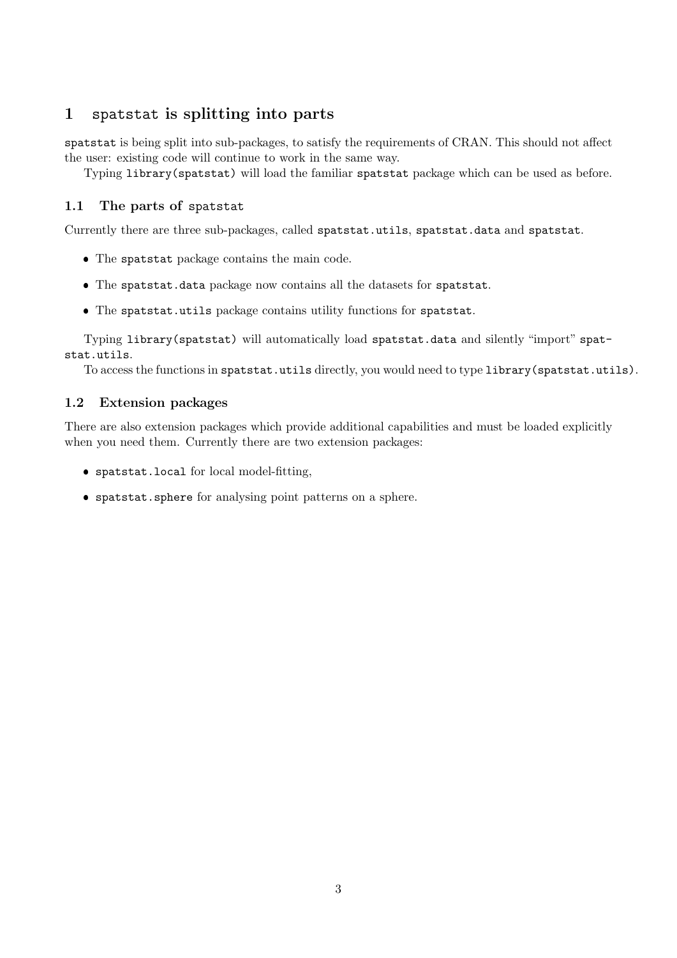### 1 spatstat is splitting into parts

spatstat is being split into sub-packages, to satisfy the requirements of CRAN. This should not affect the user: existing code will continue to work in the same way.

Typing library(spatstat) will load the familiar spatstat package which can be used as before.

#### 1.1 The parts of spatstat

Currently there are three sub-packages, called spatstat.utils, spatstat.data and spatstat.

- The spatstat package contains the main code.
- The spatstat.data package now contains all the datasets for spatstat.
- The spatstat.utils package contains utility functions for spatstat.

Typing library(spatstat) will automatically load spatstat.data and silently "import" spatstat.utils.

To access the functions in spatstat.utils directly, you would need to type library(spatstat.utils).

#### 1.2 Extension packages

There are also extension packages which provide additional capabilities and must be loaded explicitly when you need them. Currently there are two extension packages:

- spatstat.local for local model-fitting,
- spatstat.sphere for analysing point patterns on a sphere.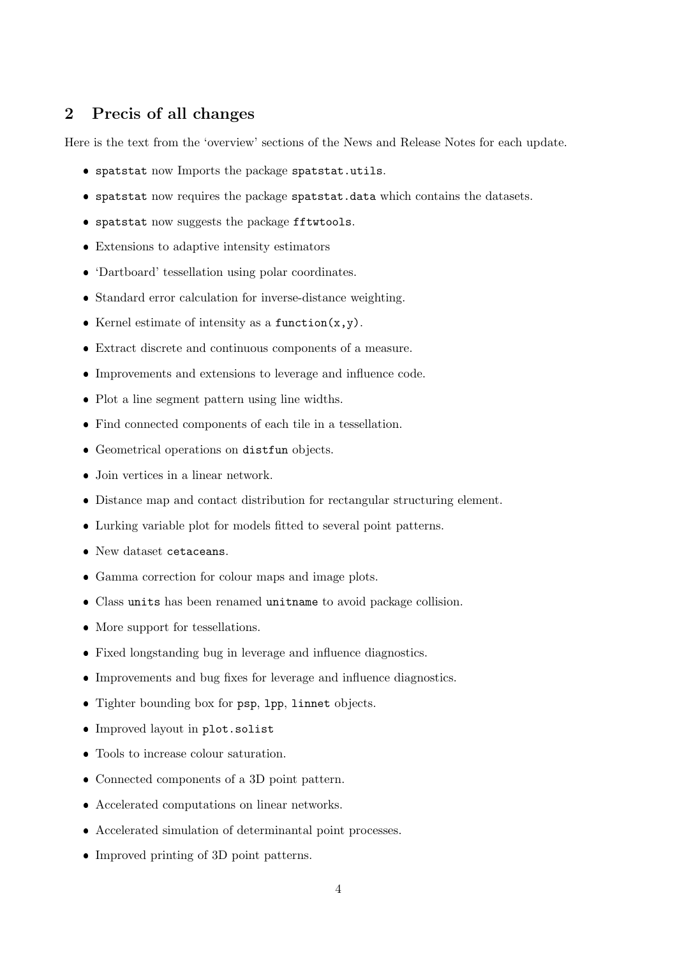#### 2 Precis of all changes

Here is the text from the 'overview' sections of the News and Release Notes for each update.

- spatstat now Imports the package spatstat.utils.
- spatstat now requires the package spatstat.data which contains the datasets.
- spatstat now suggests the package fftwtools.
- Extensions to adaptive intensity estimators
- 'Dartboard' tessellation using polar coordinates.
- Standard error calculation for inverse-distance weighting.
- Kernel estimate of intensity as a function $(x,y)$ .
- Extract discrete and continuous components of a measure.
- Improvements and extensions to leverage and influence code.
- Plot a line segment pattern using line widths.
- Find connected components of each tile in a tessellation.
- Geometrical operations on distfun objects.
- Join vertices in a linear network.
- Distance map and contact distribution for rectangular structuring element.
- Lurking variable plot for models fitted to several point patterns.
- New dataset cetaceans.
- Gamma correction for colour maps and image plots.
- Class units has been renamed unitname to avoid package collision.
- More support for tessellations.
- Fixed longstanding bug in leverage and influence diagnostics.
- Improvements and bug fixes for leverage and influence diagnostics.
- Tighter bounding box for psp, lpp, linnet objects.
- Improved layout in plot.solist
- Tools to increase colour saturation.
- Connected components of a 3D point pattern.
- Accelerated computations on linear networks.
- Accelerated simulation of determinantal point processes.
- Improved printing of 3D point patterns.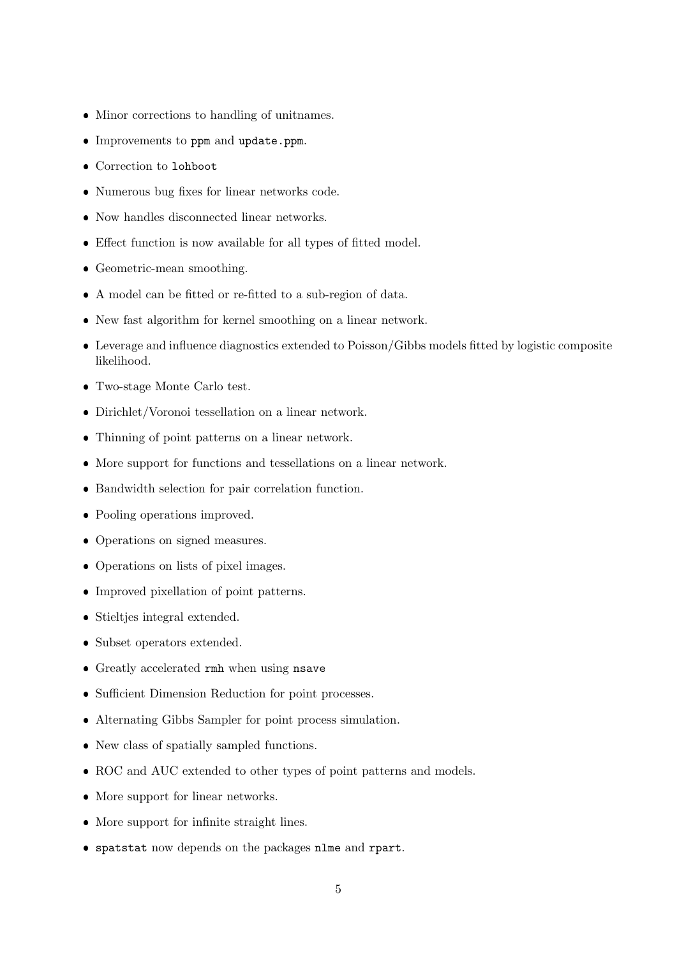- Minor corrections to handling of unitnames.
- Improvements to ppm and update.ppm.
- Correction to lohboot
- Numerous bug fixes for linear networks code.
- Now handles disconnected linear networks.
- Effect function is now available for all types of fitted model.
- Geometric-mean smoothing.
- A model can be fitted or re-fitted to a sub-region of data.
- New fast algorithm for kernel smoothing on a linear network.
- Leverage and influence diagnostics extended to Poisson/Gibbs models fitted by logistic composite likelihood.
- Two-stage Monte Carlo test.
- Dirichlet/Voronoi tessellation on a linear network.
- Thinning of point patterns on a linear network.
- More support for functions and tessellations on a linear network.
- Bandwidth selection for pair correlation function.
- Pooling operations improved.
- Operations on signed measures.
- Operations on lists of pixel images.
- Improved pixellation of point patterns.
- Stieltjes integral extended.
- Subset operators extended.
- Greatly accelerated rmh when using nsave
- Sufficient Dimension Reduction for point processes.
- Alternating Gibbs Sampler for point process simulation.
- New class of spatially sampled functions.
- ROC and AUC extended to other types of point patterns and models.
- More support for linear networks.
- More support for infinite straight lines.
- spatstat now depends on the packages nlme and rpart.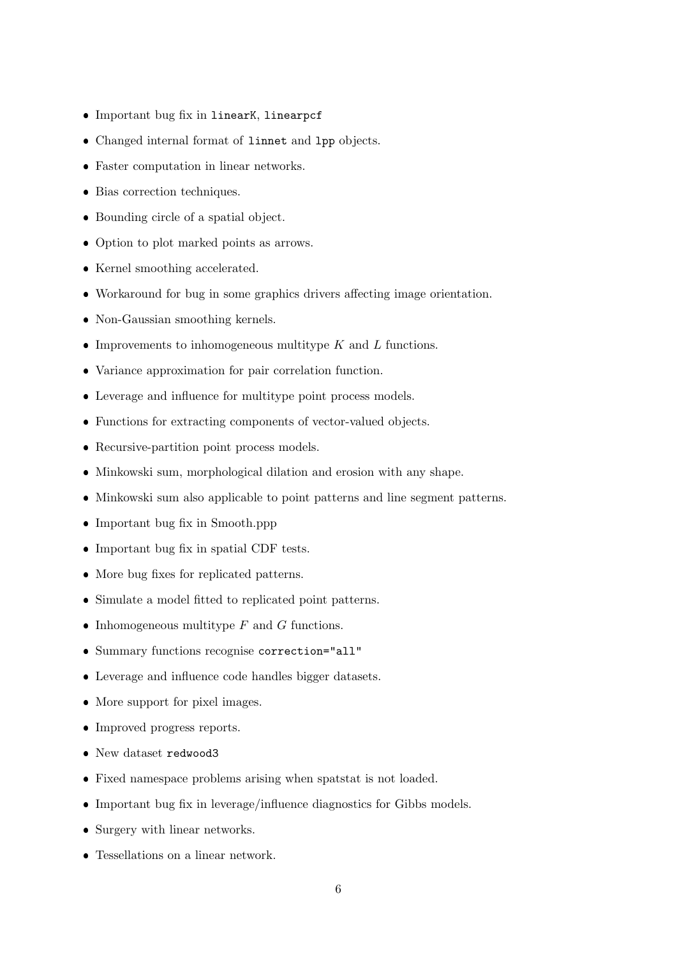- Important bug fix in linearK, linearpcf
- Changed internal format of linnet and lpp objects.
- Faster computation in linear networks.
- Bias correction techniques.
- Bounding circle of a spatial object.
- Option to plot marked points as arrows.
- Kernel smoothing accelerated.
- Workaround for bug in some graphics drivers affecting image orientation.
- Non-Gaussian smoothing kernels.
- Improvements to inhomogeneous multitype  $K$  and  $L$  functions.
- Variance approximation for pair correlation function.
- Leverage and influence for multitype point process models.
- Functions for extracting components of vector-valued objects.
- Recursive-partition point process models.
- Minkowski sum, morphological dilation and erosion with any shape.
- Minkowski sum also applicable to point patterns and line segment patterns.
- Important bug fix in Smooth.ppp
- Important bug fix in spatial CDF tests.
- More bug fixes for replicated patterns.
- Simulate a model fitted to replicated point patterns.
- Inhomogeneous multitype  $F$  and  $G$  functions.
- Summary functions recognise correction="all"
- Leverage and influence code handles bigger datasets.
- More support for pixel images.
- Improved progress reports.
- New dataset redwood3
- Fixed namespace problems arising when spatstat is not loaded.
- Important bug fix in leverage/influence diagnostics for Gibbs models.
- Surgery with linear networks.
- Tessellations on a linear network.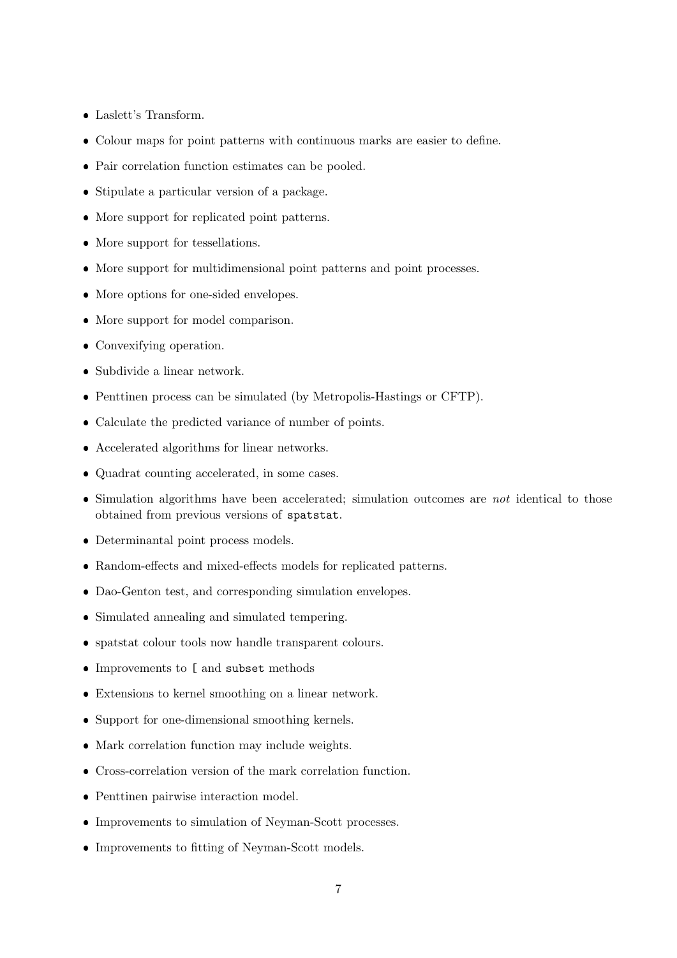- Laslett's Transform.
- Colour maps for point patterns with continuous marks are easier to define.
- Pair correlation function estimates can be pooled.
- Stipulate a particular version of a package.
- More support for replicated point patterns.
- More support for tessellations.
- More support for multidimensional point patterns and point processes.
- More options for one-sided envelopes.
- More support for model comparison.
- Convexifying operation.
- Subdivide a linear network.
- Penttinen process can be simulated (by Metropolis-Hastings or CFTP).
- Calculate the predicted variance of number of points.
- Accelerated algorithms for linear networks.
- Quadrat counting accelerated, in some cases.
- $\bullet$  Simulation algorithms have been accelerated; simulation outcomes are *not* identical to those obtained from previous versions of spatstat.
- Determinantal point process models.
- Random-effects and mixed-effects models for replicated patterns.
- Dao-Genton test, and corresponding simulation envelopes.
- Simulated annealing and simulated tempering.
- spatstat colour tools now handle transparent colours.
- Improvements to [ and subset methods
- Extensions to kernel smoothing on a linear network.
- Support for one-dimensional smoothing kernels.
- Mark correlation function may include weights.
- Cross-correlation version of the mark correlation function.
- Penttinen pairwise interaction model.
- Improvements to simulation of Neyman-Scott processes.
- Improvements to fitting of Neyman-Scott models.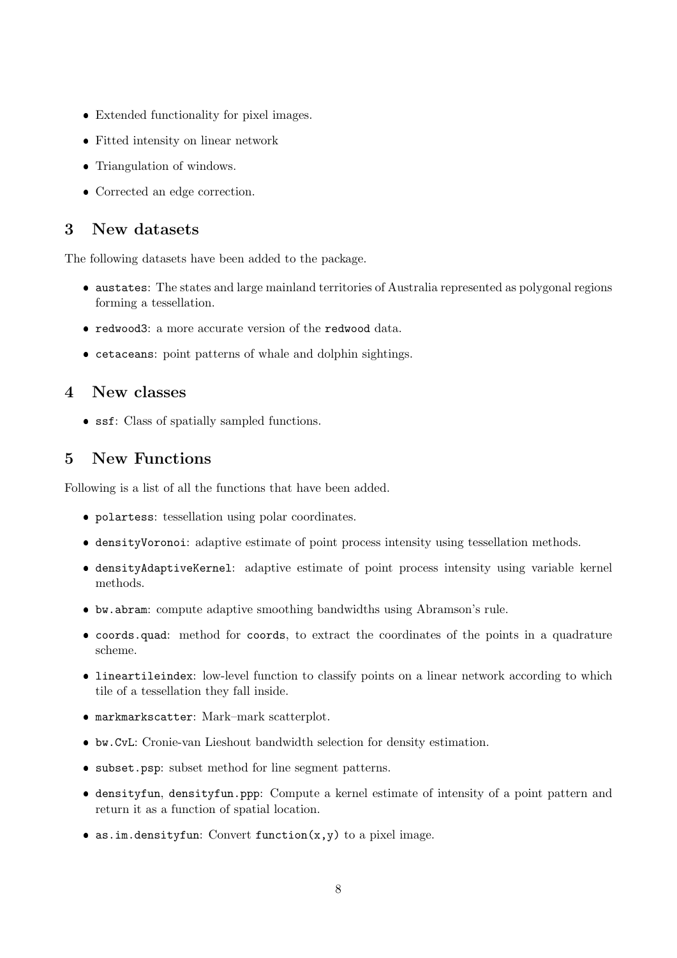- Extended functionality for pixel images.
- Fitted intensity on linear network
- Triangulation of windows.
- Corrected an edge correction.

#### 3 New datasets

The following datasets have been added to the package.

- austates: The states and large mainland territories of Australia represented as polygonal regions forming a tessellation.
- redwood3: a more accurate version of the redwood data.
- cetaceans: point patterns of whale and dolphin sightings.

### 4 New classes

ssf: Class of spatially sampled functions.

### 5 New Functions

Following is a list of all the functions that have been added.

- polartess: tessellation using polar coordinates.
- densityVoronoi: adaptive estimate of point process intensity using tessellation methods.
- densityAdaptiveKernel: adaptive estimate of point process intensity using variable kernel methods.
- bw.abram: compute adaptive smoothing bandwidths using Abramson's rule.
- coords.quad: method for coords, to extract the coordinates of the points in a quadrature scheme.
- lineartileindex: low-level function to classify points on a linear network according to which tile of a tessellation they fall inside.
- markmarkscatter: Mark–mark scatterplot.
- bw.CvL: Cronie-van Lieshout bandwidth selection for density estimation.
- subset.psp: subset method for line segment patterns.
- densityfun, densityfun.ppp: Compute a kernel estimate of intensity of a point pattern and return it as a function of spatial location.
- as.im.densityfun: Convert function $(x, y)$  to a pixel image.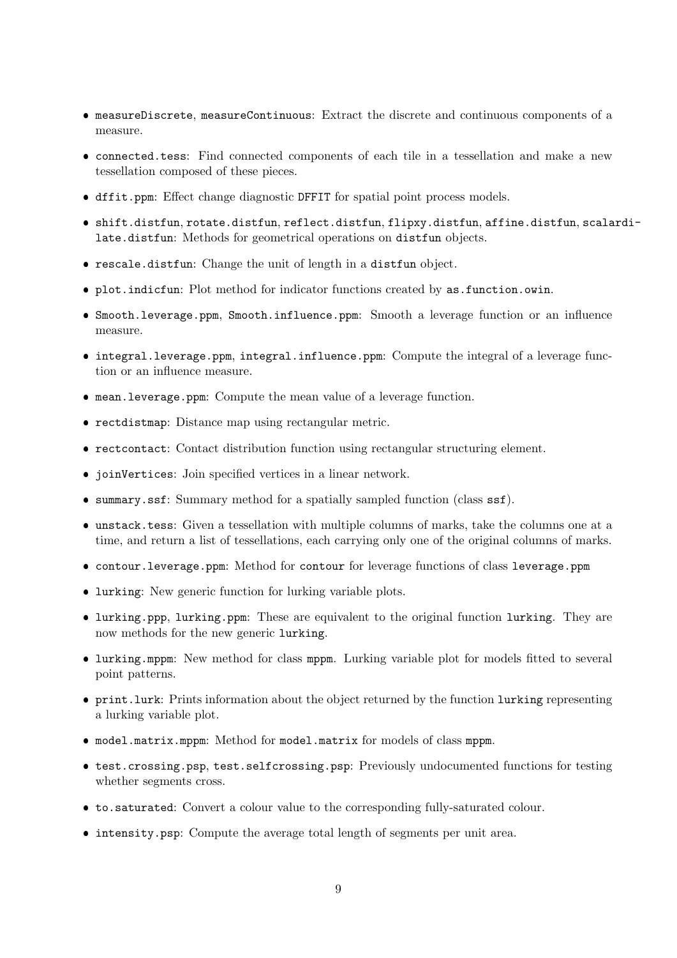- measureDiscrete, measureContinuous: Extract the discrete and continuous components of a measure.
- connected.tess: Find connected components of each tile in a tessellation and make a new tessellation composed of these pieces.
- dffit.ppm: Effect change diagnostic DFFIT for spatial point process models.
- shift.distfun, rotate.distfun, reflect.distfun, flipxy.distfun, affine.distfun, scalardilate.distfun: Methods for geometrical operations on distfun objects.
- rescale.distfun: Change the unit of length in a distfun object.
- plot.indicfun: Plot method for indicator functions created by as.function.owin.
- Smooth.leverage.ppm, Smooth.influence.ppm: Smooth a leverage function or an influence measure.
- integral.leverage.ppm, integral.influence.ppm: Compute the integral of a leverage function or an influence measure.
- mean.leverage.ppm: Compute the mean value of a leverage function.
- rectdistmap: Distance map using rectangular metric.
- rectcontact: Contact distribution function using rectangular structuring element.
- joinVertices: Join specified vertices in a linear network.
- summary.ssf: Summary method for a spatially sampled function (class ssf).
- unstack.tess: Given a tessellation with multiple columns of marks, take the columns one at a time, and return a list of tessellations, each carrying only one of the original columns of marks.
- contour.leverage.ppm: Method for contour for leverage functions of class leverage.ppm
- lurking: New generic function for lurking variable plots.
- lurking.ppp, lurking.ppm: These are equivalent to the original function lurking. They are now methods for the new generic lurking.
- lurking.mppm: New method for class mppm. Lurking variable plot for models fitted to several point patterns.
- print.lurk: Prints information about the object returned by the function lurking representing a lurking variable plot.
- model.matrix.mppm: Method for model.matrix for models of class mppm.
- test.crossing.psp, test.selfcrossing.psp: Previously undocumented functions for testing whether segments cross.
- to.saturated: Convert a colour value to the corresponding fully-saturated colour.
- intensity.psp: Compute the average total length of segments per unit area.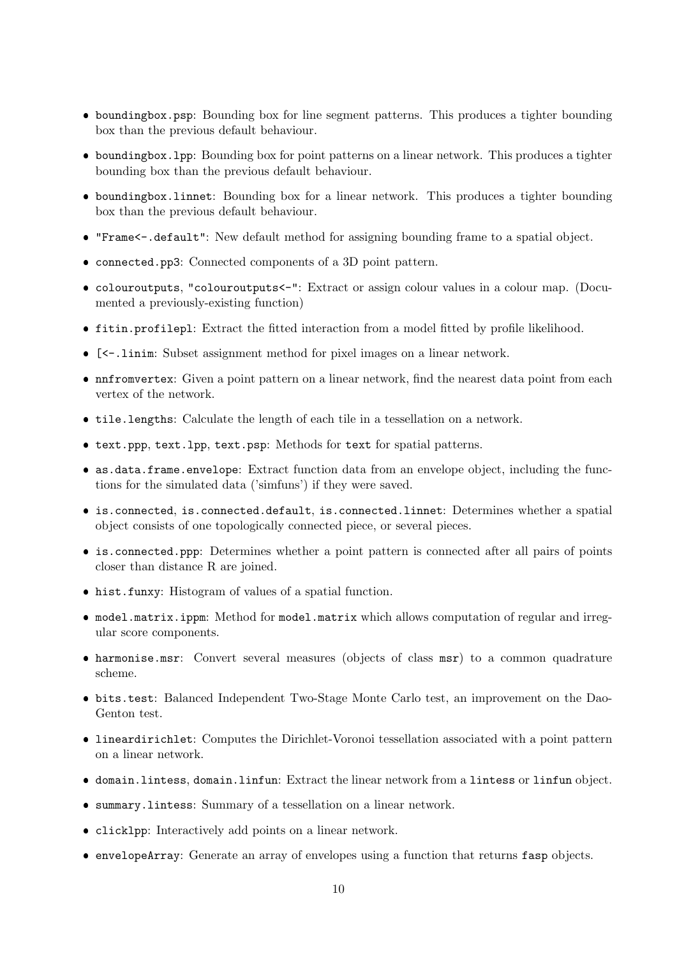- boundingbox.psp: Bounding box for line segment patterns. This produces a tighter bounding box than the previous default behaviour.
- boundingbox.lpp: Bounding box for point patterns on a linear network. This produces a tighter bounding box than the previous default behaviour.
- boundingbox.linnet: Bounding box for a linear network. This produces a tighter bounding box than the previous default behaviour.
- "Frame<-.default": New default method for assigning bounding frame to a spatial object.
- connected.pp3: Connected components of a 3D point pattern.
- colouroutputs, "colouroutputs<-": Extract or assign colour values in a colour map. (Documented a previously-existing function)
- fitin.profilepl: Extract the fitted interaction from a model fitted by profile likelihood.
- [<-.linim: Subset assignment method for pixel images on a linear network.
- nnfromvertex: Given a point pattern on a linear network, find the nearest data point from each vertex of the network.
- tile.lengths: Calculate the length of each tile in a tessellation on a network.
- text.ppp, text.lpp, text.psp: Methods for text for spatial patterns.
- as.data.frame.envelope: Extract function data from an envelope object, including the functions for the simulated data ('simfuns') if they were saved.
- is.connected, is.connected.default, is.connected.linnet: Determines whether a spatial object consists of one topologically connected piece, or several pieces.
- is.connected.ppp: Determines whether a point pattern is connected after all pairs of points closer than distance R are joined.
- hist.funxy: Histogram of values of a spatial function.
- model.matrix.ippm: Method for model.matrix which allows computation of regular and irregular score components.
- harmonise.msr: Convert several measures (objects of class msr) to a common quadrature scheme.
- bits.test: Balanced Independent Two-Stage Monte Carlo test, an improvement on the Dao-Genton test.
- lineardirichlet: Computes the Dirichlet-Voronoi tessellation associated with a point pattern on a linear network.
- domain.lintess, domain.linfun: Extract the linear network from a lintess or linfun object.
- summary.lintess: Summary of a tessellation on a linear network.
- clicklpp: Interactively add points on a linear network.
- envelopeArray: Generate an array of envelopes using a function that returns fasp objects.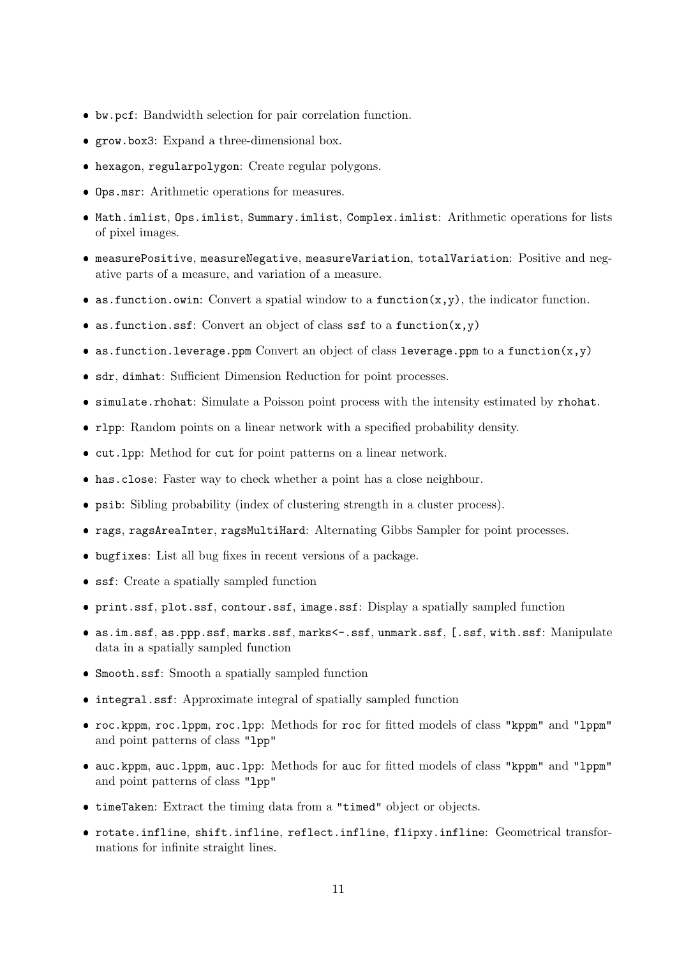- bw.pcf: Bandwidth selection for pair correlation function.
- grow.box3: Expand a three-dimensional box.
- hexagon, regularpolygon: Create regular polygons.
- Ops.msr: Arithmetic operations for measures.
- Math.imlist, Ops.imlist, Summary.imlist, Complex.imlist: Arithmetic operations for lists of pixel images.
- measurePositive, measureNegative, measureVariation, totalVariation: Positive and negative parts of a measure, and variation of a measure.
- as.function.owin: Convert a spatial window to a function $(x,y)$ , the indicator function.
- as.function.ssf: Convert an object of class ssf to a function $(x, y)$
- as.function.leverage.ppm Convert an object of class leverage.ppm to a function $(x,y)$
- sdr, dimhat: Sufficient Dimension Reduction for point processes.
- simulate.rhohat: Simulate a Poisson point process with the intensity estimated by rhohat.
- rlpp: Random points on a linear network with a specified probability density.
- cut.lpp: Method for cut for point patterns on a linear network.
- has.close: Faster way to check whether a point has a close neighbour.
- psib: Sibling probability (index of clustering strength in a cluster process).
- rags, ragsAreaInter, ragsMultiHard: Alternating Gibbs Sampler for point processes.
- bugfixes: List all bug fixes in recent versions of a package.
- ssf: Create a spatially sampled function
- print.ssf, plot.ssf, contour.ssf, image.ssf: Display a spatially sampled function
- as.im.ssf, as.ppp.ssf, marks.ssf, marks<-.ssf, unmark.ssf, [.ssf, with.ssf: Manipulate data in a spatially sampled function
- Smooth.ssf: Smooth a spatially sampled function
- integral.ssf: Approximate integral of spatially sampled function
- roc.kppm, roc.lppm, roc.lpp: Methods for roc for fitted models of class "kppm" and "lppm" and point patterns of class "lpp"
- auc.kppm, auc.lppm, auc.lpp: Methods for auc for fitted models of class "kppm" and "lppm" and point patterns of class "lpp"
- timeTaken: Extract the timing data from a "timed" object or objects.
- rotate.infline, shift.infline, reflect.infline, flipxy.infline: Geometrical transformations for infinite straight lines.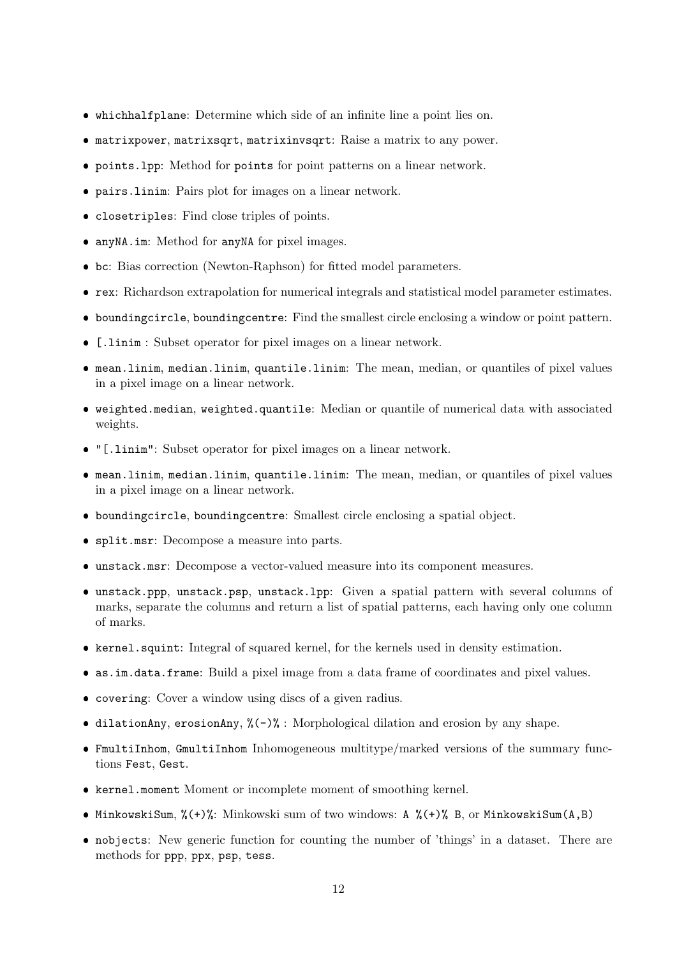- whichhalfplane: Determine which side of an infinite line a point lies on.
- matrixpower, matrixsqrt, matrixinvsqrt: Raise a matrix to any power.
- points.lpp: Method for points for point patterns on a linear network.
- pairs.linim: Pairs plot for images on a linear network.
- closetriples: Find close triples of points.
- anyNA.im: Method for anyNA for pixel images.
- bc: Bias correction (Newton-Raphson) for fitted model parameters.
- rex: Richardson extrapolation for numerical integrals and statistical model parameter estimates.
- boundingcircle, boundingcentre: Find the smallest circle enclosing a window or point pattern.
- [.linim : Subset operator for pixel images on a linear network.
- mean.linim, median.linim, quantile.linim: The mean, median, or quantiles of pixel values in a pixel image on a linear network.
- weighted.median, weighted.quantile: Median or quantile of numerical data with associated weights.
- "[.linim": Subset operator for pixel images on a linear network.
- mean.linim, median.linim, quantile.linim: The mean, median, or quantiles of pixel values in a pixel image on a linear network.
- boundingcircle, boundingcentre: Smallest circle enclosing a spatial object.
- split.msr: Decompose a measure into parts.
- unstack.msr: Decompose a vector-valued measure into its component measures.
- unstack.ppp, unstack.psp, unstack.lpp: Given a spatial pattern with several columns of marks, separate the columns and return a list of spatial patterns, each having only one column of marks.
- kernel.squint: Integral of squared kernel, for the kernels used in density estimation.
- as.im.data.frame: Build a pixel image from a data frame of coordinates and pixel values.
- covering: Cover a window using discs of a given radius.
- $\bullet$  dilationAny, erosionAny, % $(-)$ % : Morphological dilation and erosion by any shape.
- FmultiInhom, GmultiInhom Inhomogeneous multitype/marked versions of the summary functions Fest, Gest.
- kernel.moment Moment or incomplete moment of smoothing kernel.
- MinkowskiSum, %(+)%: Minkowski sum of two windows: A %(+)% B, or MinkowskiSum(A,B)
- nobjects: New generic function for counting the number of 'things' in a dataset. There are methods for ppp, ppx, psp, tess.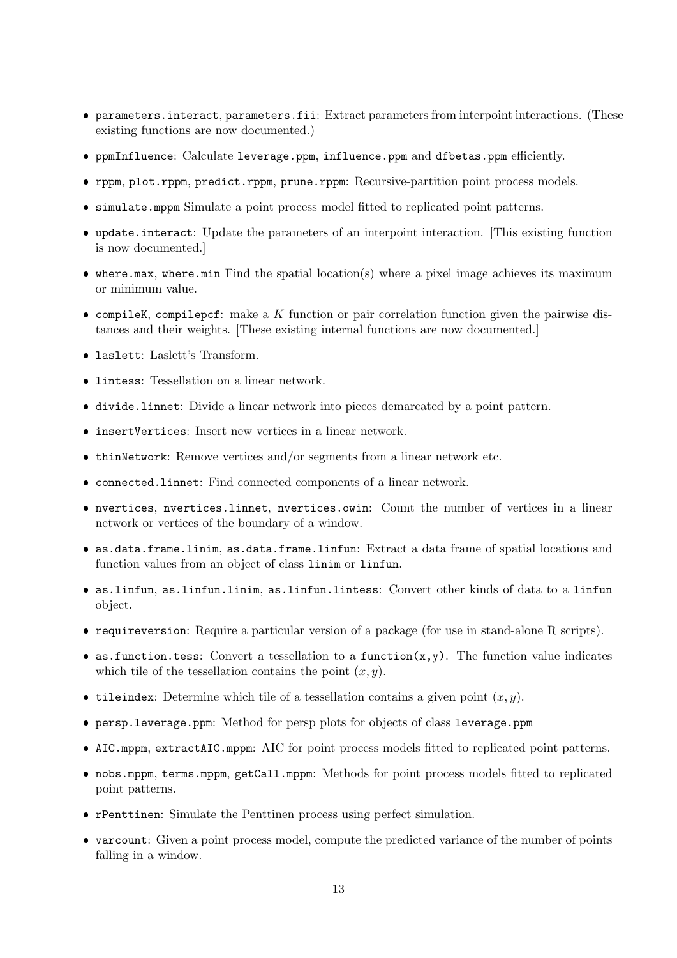- parameters.interact, parameters.fii: Extract parameters from interpoint interactions. (These existing functions are now documented.)
- ppmInfluence: Calculate leverage.ppm, influence.ppm and dfbetas.ppm efficiently.
- rppm, plot.rppm, predict.rppm, prune.rppm: Recursive-partition point process models.
- simulate.mppm Simulate a point process model fitted to replicated point patterns.
- update.interact: Update the parameters of an interpoint interaction. [This existing function is now documented.]
- where.max, where.min Find the spatial location(s) where a pixel image achieves its maximum or minimum value.
- $\bullet$  compileK, compilepcf: make a  $K$  function or pair correlation function given the pairwise distances and their weights. [These existing internal functions are now documented.]
- laslett: Laslett's Transform.
- **lintess:** Tessellation on a linear network.
- divide.linnet: Divide a linear network into pieces demarcated by a point pattern.
- insertVertices: Insert new vertices in a linear network.
- thinNetwork: Remove vertices and/or segments from a linear network etc.
- connected.linnet: Find connected components of a linear network.
- nvertices, nvertices.linnet, nvertices.owin: Count the number of vertices in a linear network or vertices of the boundary of a window.
- as.data.frame.linim, as.data.frame.linfun: Extract a data frame of spatial locations and function values from an object of class linim or linfun.
- as.linfun, as.linfun.linim, as.linfun.lintess: Convert other kinds of data to a linfun object.
- requireversion: Require a particular version of a package (for use in stand-alone R scripts).
- as.function.tess: Convert a tessellation to a function $(x, y)$ . The function value indicates which tile of the tessellation contains the point  $(x, y)$ .
- tileindex: Determine which tile of a tessellation contains a given point  $(x, y)$ .
- persp.leverage.ppm: Method for persp plots for objects of class leverage.ppm
- AIC.mppm, extractAIC.mppm: AIC for point process models fitted to replicated point patterns.
- nobs.mppm, terms.mppm, getCall.mppm: Methods for point process models fitted to replicated point patterns.
- rPenttinen: Simulate the Penttinen process using perfect simulation.
- varcount: Given a point process model, compute the predicted variance of the number of points falling in a window.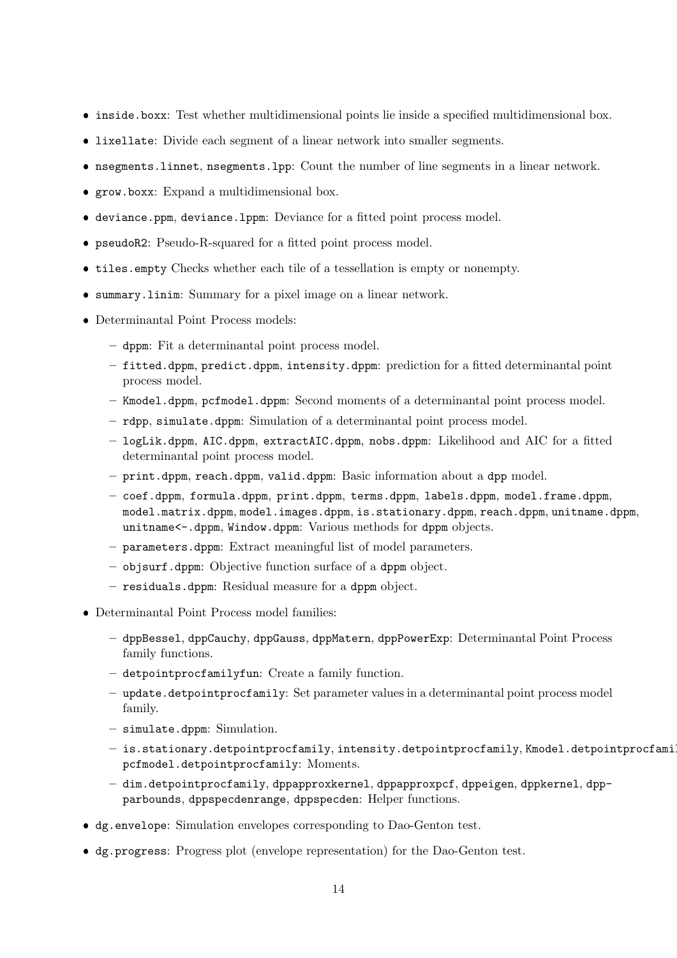- inside.boxx: Test whether multidimensional points lie inside a specified multidimensional box.
- lixellate: Divide each segment of a linear network into smaller segments.
- nsegments.linnet, nsegments.lpp: Count the number of line segments in a linear network.
- grow.boxx: Expand a multidimensional box.
- deviance.ppm, deviance.lppm: Deviance for a fitted point process model.
- pseudoR2: Pseudo-R-squared for a fitted point process model.
- tiles.empty Checks whether each tile of a tessellation is empty or nonempty.
- summary.linim: Summary for a pixel image on a linear network.
- Determinantal Point Process models:
	- dppm: Fit a determinantal point process model.
	- fitted.dppm, predict.dppm, intensity.dppm: prediction for a fitted determinantal point process model.
	- Kmodel.dppm, pcfmodel.dppm: Second moments of a determinantal point process model.
	- rdpp, simulate.dppm: Simulation of a determinantal point process model.
	- logLik.dppm, AIC.dppm, extractAIC.dppm, nobs.dppm: Likelihood and AIC for a fitted determinantal point process model.
	- print.dppm, reach.dppm, valid.dppm: Basic information about a dpp model.
	- coef.dppm, formula.dppm, print.dppm, terms.dppm, labels.dppm, model.frame.dppm, model.matrix.dppm, model.images.dppm, is.stationary.dppm, reach.dppm, unitname.dppm, unitname<-.dppm, Window.dppm: Various methods for dppm objects.
	- parameters.dppm: Extract meaningful list of model parameters.
	- objsurf.dppm: Objective function surface of a dppm object.
	- residuals.dppm: Residual measure for a dppm object.
- Determinantal Point Process model families:
	- dppBessel, dppCauchy, dppGauss, dppMatern, dppPowerExp: Determinantal Point Process family functions.
	- detpointprocfamilyfun: Create a family function.
	- update.detpointprocfamily: Set parameter values in a determinantal point process model family.
	- simulate.dppm: Simulation.
	- is.stationary.detpointprocfamily, intensity.detpointprocfamily, Kmodel.detpointprocfamily, pcfmodel.detpointprocfamily: Moments.
	- dim.detpointprocfamily, dppapproxkernel, dppapproxpcf, dppeigen, dppkernel, dppparbounds, dppspecdenrange, dppspecden: Helper functions.
- dg.envelope: Simulation envelopes corresponding to Dao-Genton test.
- dg.progress: Progress plot (envelope representation) for the Dao-Genton test.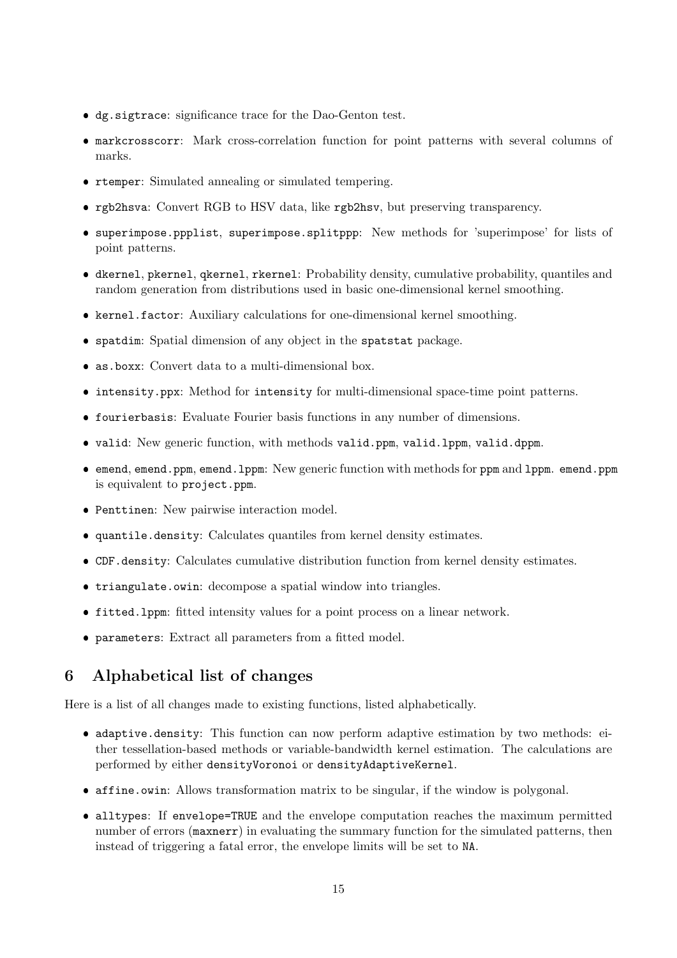- dg.sigtrace: significance trace for the Dao-Genton test.
- markcrosscorr: Mark cross-correlation function for point patterns with several columns of marks.
- rtemper: Simulated annealing or simulated tempering.
- rgb2hsva: Convert RGB to HSV data, like rgb2hsv, but preserving transparency.
- superimpose.ppplist, superimpose.splitppp: New methods for 'superimpose' for lists of point patterns.
- dkernel, pkernel, qkernel, rkernel: Probability density, cumulative probability, quantiles and random generation from distributions used in basic one-dimensional kernel smoothing.
- kernel.factor: Auxiliary calculations for one-dimensional kernel smoothing.
- spatdim: Spatial dimension of any object in the spatstat package.
- as.boxx: Convert data to a multi-dimensional box.
- intensity.ppx: Method for intensity for multi-dimensional space-time point patterns.
- fourierbasis: Evaluate Fourier basis functions in any number of dimensions.
- valid: New generic function, with methods valid.ppm, valid.lppm, valid.dppm.
- emend, emend.ppm, emend.lppm: New generic function with methods for ppm and lppm. emend.ppm is equivalent to project.ppm.
- Penttinen: New pairwise interaction model.
- quantile.density: Calculates quantiles from kernel density estimates.
- CDF.density: Calculates cumulative distribution function from kernel density estimates.
- triangulate.owin: decompose a spatial window into triangles.
- fitted.lppm: fitted intensity values for a point process on a linear network.
- parameters: Extract all parameters from a fitted model.

### 6 Alphabetical list of changes

Here is a list of all changes made to existing functions, listed alphabetically.

- adaptive.density: This function can now perform adaptive estimation by two methods: either tessellation-based methods or variable-bandwidth kernel estimation. The calculations are performed by either densityVoronoi or densityAdaptiveKernel.
- affine.owin: Allows transformation matrix to be singular, if the window is polygonal.
- alltypes: If envelope=TRUE and the envelope computation reaches the maximum permitted number of errors (maxnerr) in evaluating the summary function for the simulated patterns, then instead of triggering a fatal error, the envelope limits will be set to NA.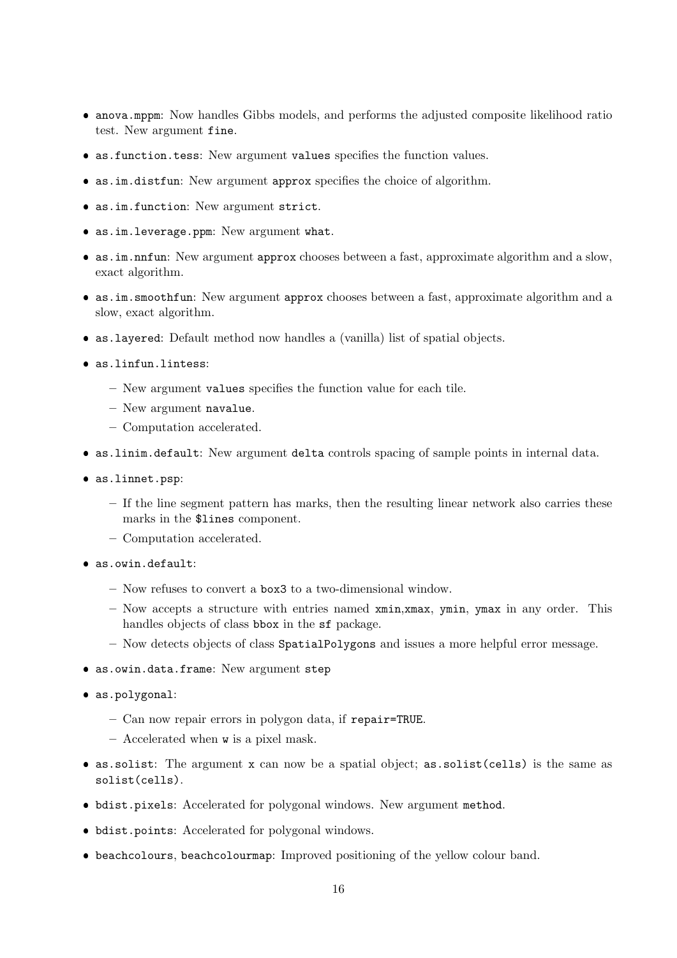- anova.mppm: Now handles Gibbs models, and performs the adjusted composite likelihood ratio test. New argument fine.
- as.function.tess: New argument values specifies the function values.
- as.im.distfun: New argument approx specifies the choice of algorithm.
- as.im.function: New argument strict.
- as.im.leverage.ppm: New argument what.
- as.im.nnfun: New argument approx chooses between a fast, approximate algorithm and a slow, exact algorithm.
- as.im.smoothfun: New argument approx chooses between a fast, approximate algorithm and a slow, exact algorithm.
- as.layered: Default method now handles a (vanilla) list of spatial objects.
- as.linfun.lintess:
	- New argument values specifies the function value for each tile.
	- New argument navalue.
	- Computation accelerated.
- as.linim.default: New argument delta controls spacing of sample points in internal data.
- as.linnet.psp:
	- If the line segment pattern has marks, then the resulting linear network also carries these marks in the \$lines component.
	- Computation accelerated.
- as.owin.default:
	- Now refuses to convert a box3 to a two-dimensional window.
	- $-$  Now accepts a structure with entries named  $xmin, xmax, ymin, ymax$  in any order. This handles objects of class bbox in the sf package.
	- Now detects objects of class SpatialPolygons and issues a more helpful error message.
- as.owin.data.frame: New argument step
- as.polygonal:
	- Can now repair errors in polygon data, if repair=TRUE.
	- Accelerated when w is a pixel mask.
- as.solist: The argument x can now be a spatial object; as.solist(cells) is the same as solist(cells).
- bdist.pixels: Accelerated for polygonal windows. New argument method.
- bdist.points: Accelerated for polygonal windows.
- beachcolours, beachcolourmap: Improved positioning of the yellow colour band.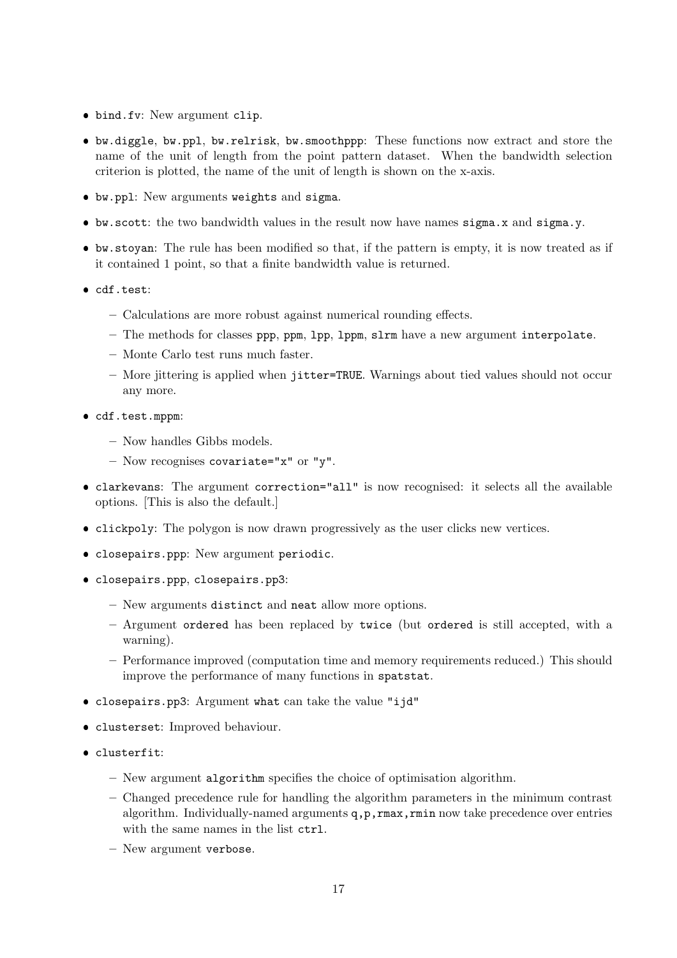- bind.fv: New argument clip.
- bw.diggle, bw.ppl, bw.relrisk, bw.smoothppp: These functions now extract and store the name of the unit of length from the point pattern dataset. When the bandwidth selection criterion is plotted, the name of the unit of length is shown on the x-axis.
- bw.ppl: New arguments weights and sigma.
- bw.scott: the two bandwidth values in the result now have names sigma.x and sigma.y.
- bw.stoyan: The rule has been modified so that, if the pattern is empty, it is now treated as if it contained 1 point, so that a finite bandwidth value is returned.
- cdf.test:
	- Calculations are more robust against numerical rounding effects.
	- The methods for classes ppp, ppm, lpp, lppm, slrm have a new argument interpolate.
	- Monte Carlo test runs much faster.
	- More jittering is applied when jitter=TRUE. Warnings about tied values should not occur any more.
- cdf.test.mppm:
	- Now handles Gibbs models.
	- Now recognises covariate="x" or "y".
- clarkevans: The argument correction="all" is now recognised: it selects all the available options. [This is also the default.]
- clickpoly: The polygon is now drawn progressively as the user clicks new vertices.
- closepairs.ppp: New argument periodic.
- closepairs.ppp, closepairs.pp3:
	- New arguments distinct and neat allow more options.
	- Argument ordered has been replaced by twice (but ordered is still accepted, with a warning).
	- Performance improved (computation time and memory requirements reduced.) This should improve the performance of many functions in spatstat.
- closepairs.pp3: Argument what can take the value "ijd"
- clusterset: Improved behaviour.
- clusterfit:
	- New argument algorithm specifies the choice of optimisation algorithm.
	- Changed precedence rule for handling the algorithm parameters in the minimum contrast algorithm. Individually-named arguments  $q, p, r$ max,  $r$ min now take precedence over entries with the same names in the list  $ctrl$ .
	- New argument verbose.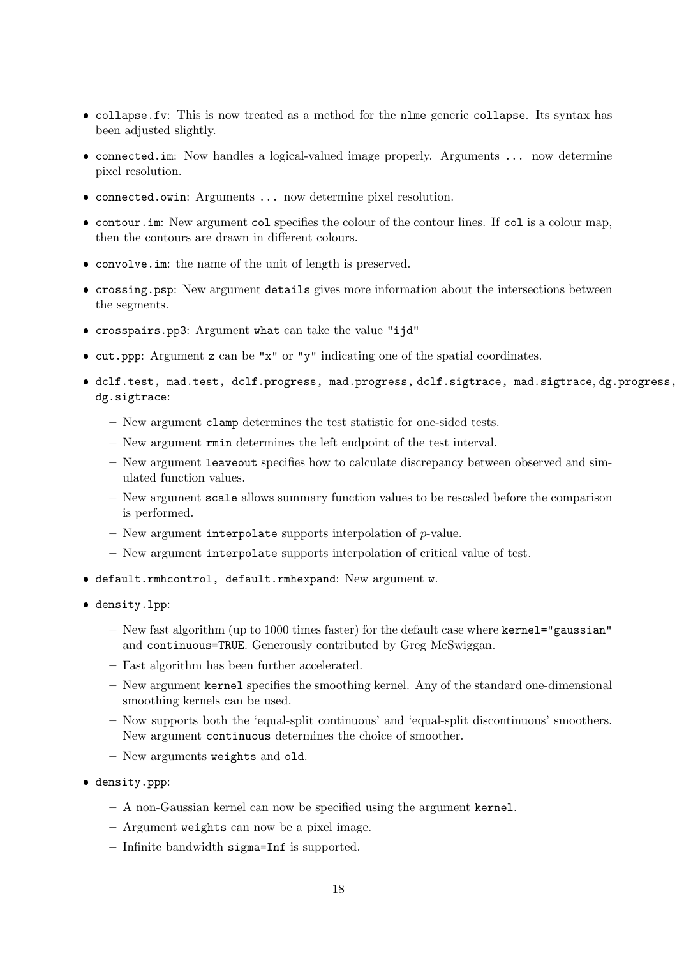- collapse.fv: This is now treated as a method for the nlme generic collapse. Its syntax has been adjusted slightly.
- connected.im: Now handles a logical-valued image properly. Arguments ... now determine pixel resolution.
- connected.owin: Arguments ... now determine pixel resolution.
- contour.im: New argument col specifies the colour of the contour lines. If col is a colour map, then the contours are drawn in different colours.
- convolve.im: the name of the unit of length is preserved.
- crossing.psp: New argument details gives more information about the intersections between the segments.
- crosspairs.pp3: Argument what can take the value "ijd"
- cut.ppp: Argument z can be "x" or "y" indicating one of the spatial coordinates.
- dclf.test, mad.test, dclf.progress, mad.progress, dclf.sigtrace, mad.sigtrace, dg.progress, dg.sigtrace:
	- New argument clamp determines the test statistic for one-sided tests.
	- New argument rmin determines the left endpoint of the test interval.
	- New argument leaveout specifies how to calculate discrepancy between observed and simulated function values.
	- New argument scale allows summary function values to be rescaled before the comparison is performed.
	- New argument interpolate supports interpolation of  $p$ -value.
	- New argument interpolate supports interpolation of critical value of test.
- default.rmhcontrol, default.rmhexpand: New argument w.
- density.lpp:
	- New fast algorithm (up to 1000 times faster) for the default case where kernel="gaussian" and continuous=TRUE. Generously contributed by Greg McSwiggan.
	- Fast algorithm has been further accelerated.
	- New argument kernel specifies the smoothing kernel. Any of the standard one-dimensional smoothing kernels can be used.
	- Now supports both the 'equal-split continuous' and 'equal-split discontinuous' smoothers. New argument continuous determines the choice of smoother.
	- New arguments weights and old.
- density.ppp:
	- A non-Gaussian kernel can now be specified using the argument kernel.
	- Argument weights can now be a pixel image.
	- Infinite bandwidth sigma=Inf is supported.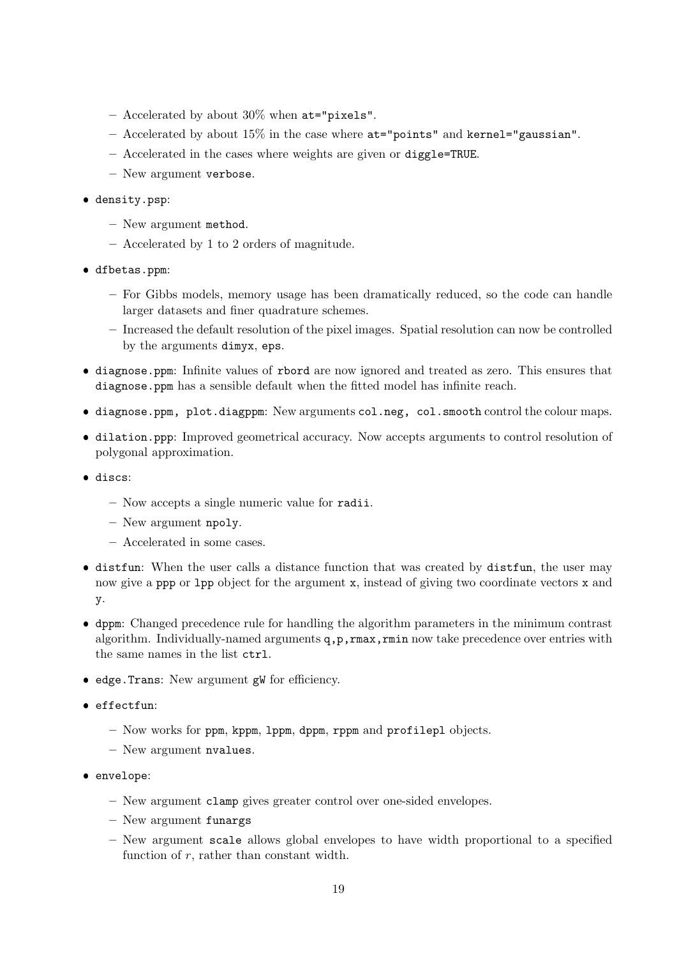- Accelerated by about 30% when at="pixels".
- Accelerated by about 15% in the case where at="points" and kernel="gaussian".
- Accelerated in the cases where weights are given or diggle=TRUE.
- New argument verbose.

### density.psp:

- New argument method.
- Accelerated by 1 to 2 orders of magnitude.
- dfbetas.ppm:
	- For Gibbs models, memory usage has been dramatically reduced, so the code can handle larger datasets and finer quadrature schemes.
	- Increased the default resolution of the pixel images. Spatial resolution can now be controlled by the arguments dimyx, eps.
- diagnose.ppm: Infinite values of rbord are now ignored and treated as zero. This ensures that diagnose.ppm has a sensible default when the fitted model has infinite reach.
- diagnose.ppm, plot.diagppm: New arguments col.neg, col.smooth control the colour maps.
- dilation.ppp: Improved geometrical accuracy. Now accepts arguments to control resolution of polygonal approximation.
- **.** discs:
	- Now accepts a single numeric value for radii.
	- New argument npoly.
	- Accelerated in some cases.
- distfun: When the user calls a distance function that was created by distfun, the user may now give a ppp or lpp object for the argument x, instead of giving two coordinate vectors x and y.
- dppm: Changed precedence rule for handling the algorithm parameters in the minimum contrast algorithm. Individually-named arguments  $q, p, r$ max,  $r$ min now take precedence over entries with the same names in the list ctrl.
- edge.Trans: New argument gW for efficiency.
- effectfun:
	- Now works for ppm, kppm, lppm, dppm, rppm and profilepl objects.
	- New argument nvalues.
- envelope:
	- New argument clamp gives greater control over one-sided envelopes.
	- New argument funargs
	- New argument scale allows global envelopes to have width proportional to a specified function of  $r$ , rather than constant width.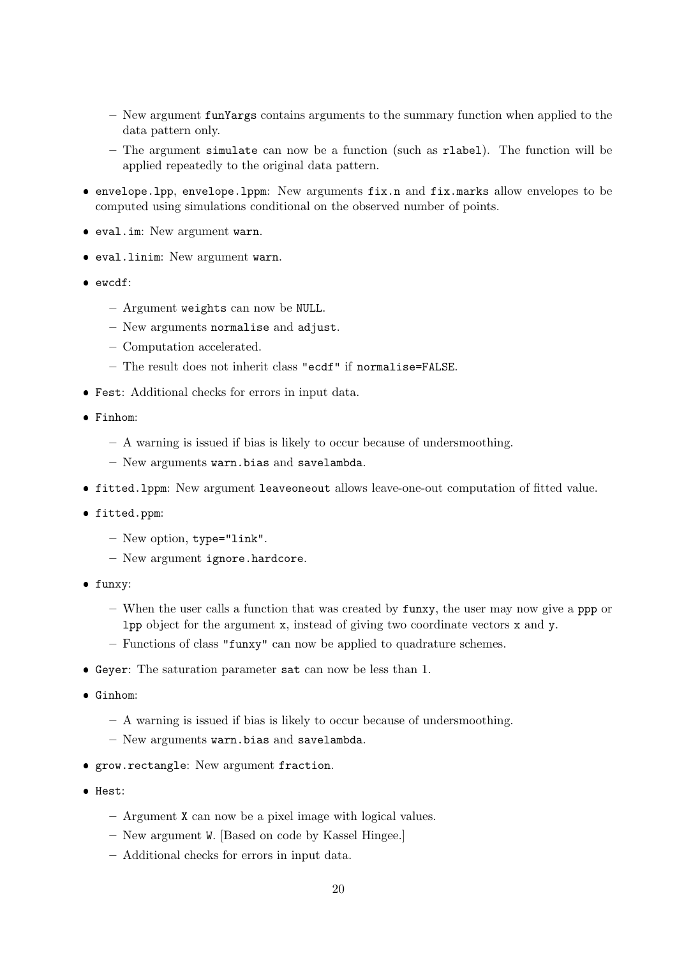- New argument funYargs contains arguments to the summary function when applied to the data pattern only.
- The argument simulate can now be a function (such as rlabel). The function will be applied repeatedly to the original data pattern.
- envelope.lpp, envelope.lppm: New arguments fix.n and fix.marks allow envelopes to be computed using simulations conditional on the observed number of points.
- eval.im: New argument warn.
- eval.linim: New argument warn.
- ewcdf:
	- Argument weights can now be NULL.
	- New arguments normalise and adjust.
	- Computation accelerated.
	- The result does not inherit class "ecdf" if normalise=FALSE.
- Fest: Additional checks for errors in input data.
- Finhom:
	- A warning is issued if bias is likely to occur because of undersmoothing.
	- New arguments warn.bias and savelambda.
- fitted.lppm: New argument leaveoneout allows leave-one-out computation of fitted value.
- fitted.ppm:
	- New option, type="link".
	- New argument ignore.hardcore.
- funxy:
	- When the user calls a function that was created by funxy, the user may now give a ppp or lpp object for the argument x, instead of giving two coordinate vectors x and y.
	- Functions of class "funxy" can now be applied to quadrature schemes.
- Geyer: The saturation parameter sat can now be less than 1.
- Ginhom:
	- A warning is issued if bias is likely to occur because of undersmoothing.
	- New arguments warn.bias and savelambda.
- grow.rectangle: New argument fraction.
- Hest:
	- Argument X can now be a pixel image with logical values.
	- New argument W. [Based on code by Kassel Hingee.]
	- Additional checks for errors in input data.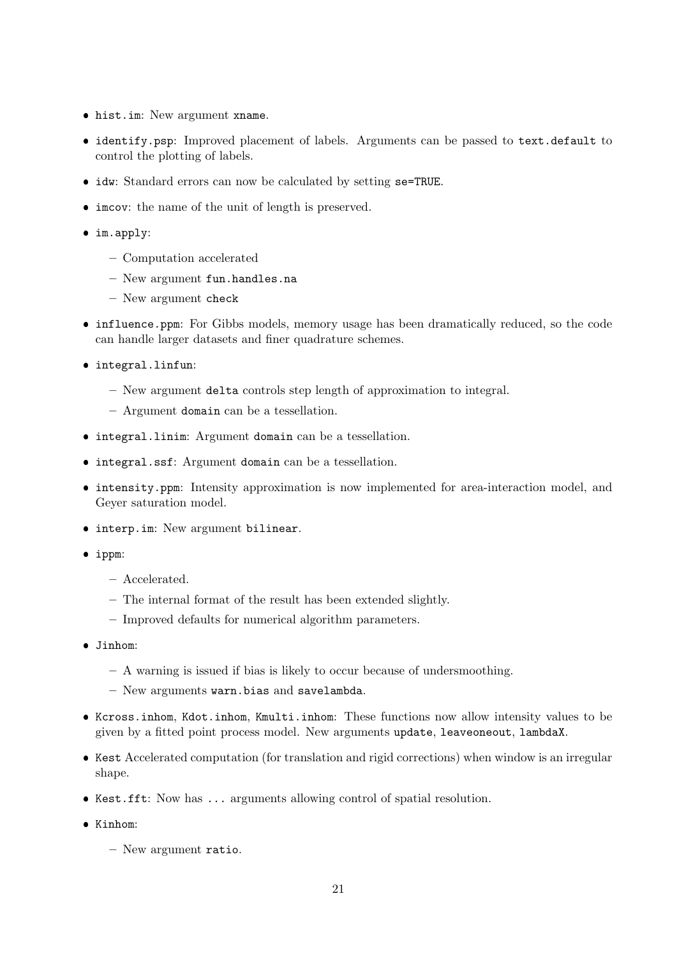- hist.im: New argument xname.
- identify.psp: Improved placement of labels. Arguments can be passed to text.default to control the plotting of labels.
- idw: Standard errors can now be calculated by setting se=TRUE.
- imcov: the name of the unit of length is preserved.
- im.apply:
	- Computation accelerated
	- New argument fun.handles.na
	- New argument check
- influence.ppm: For Gibbs models, memory usage has been dramatically reduced, so the code can handle larger datasets and finer quadrature schemes.
- integral.linfun:
	- New argument delta controls step length of approximation to integral.
	- Argument domain can be a tessellation.
- integral.linim: Argument domain can be a tessellation.
- integral.ssf: Argument domain can be a tessellation.
- intensity.ppm: Intensity approximation is now implemented for area-interaction model, and Geyer saturation model.
- interp.im: New argument bilinear.
- ippm:
	- Accelerated.
	- The internal format of the result has been extended slightly.
	- Improved defaults for numerical algorithm parameters.
- Jinhom:
	- A warning is issued if bias is likely to occur because of undersmoothing.
	- New arguments warn.bias and savelambda.
- Kcross.inhom, Kdot.inhom, Kmulti.inhom: These functions now allow intensity values to be given by a fitted point process model. New arguments update, leaveoneout, lambdaX.
- Kest Accelerated computation (for translation and rigid corrections) when window is an irregular shape.
- Kest.fft: Now has ... arguments allowing control of spatial resolution.
- Kinhom:
	- New argument ratio.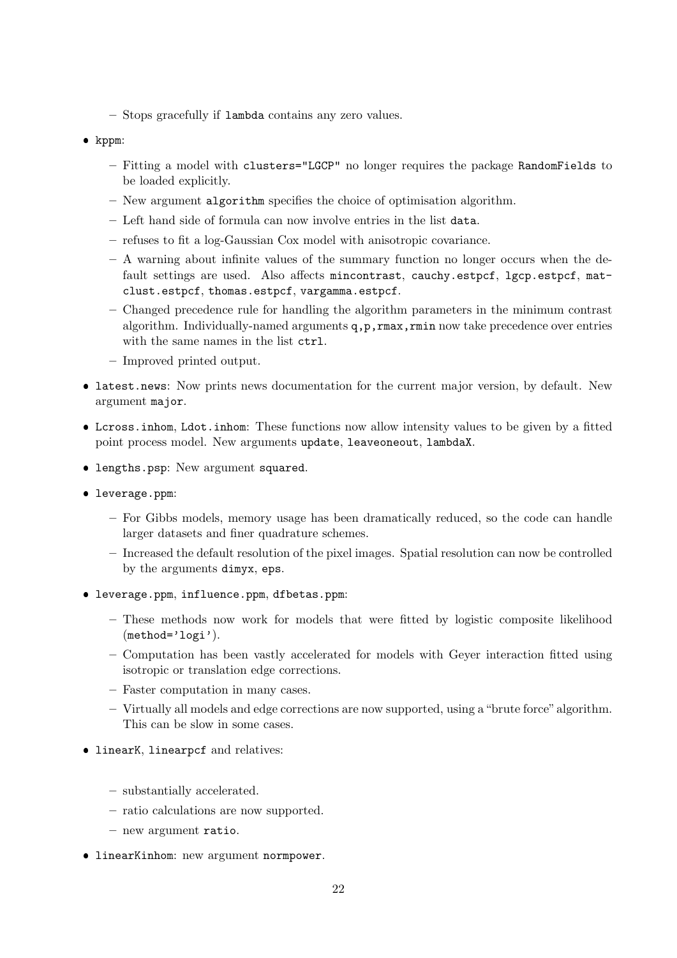- Stops gracefully if lambda contains any zero values.
- kppm:
	- Fitting a model with clusters="LGCP" no longer requires the package RandomFields to be loaded explicitly.
	- New argument algorithm specifies the choice of optimisation algorithm.
	- Left hand side of formula can now involve entries in the list data.
	- refuses to fit a log-Gaussian Cox model with anisotropic covariance.
	- A warning about infinite values of the summary function no longer occurs when the default settings are used. Also affects mincontrast, cauchy.estpcf, lgcp.estpcf, matclust.estpcf, thomas.estpcf, vargamma.estpcf.
	- Changed precedence rule for handling the algorithm parameters in the minimum contrast algorithm. Individually-named arguments q,p,rmax,rmin now take precedence over entries with the same names in the list ctrl.
	- Improved printed output.
- latest.news: Now prints news documentation for the current major version, by default. New argument major.
- Lcross.inhom, Ldot.inhom: These functions now allow intensity values to be given by a fitted point process model. New arguments update, leaveoneout, lambdaX.
- lengths.psp: New argument squared.
- leverage.ppm:
	- For Gibbs models, memory usage has been dramatically reduced, so the code can handle larger datasets and finer quadrature schemes.
	- Increased the default resolution of the pixel images. Spatial resolution can now be controlled by the arguments dimyx, eps.
- leverage.ppm, influence.ppm, dfbetas.ppm:
	- These methods now work for models that were fitted by logistic composite likelihood (method='logi').
	- Computation has been vastly accelerated for models with Geyer interaction fitted using isotropic or translation edge corrections.
	- Faster computation in many cases.
	- Virtually all models and edge corrections are now supported, using a "brute force" algorithm. This can be slow in some cases.
- linearK, linearpcf and relatives:
	- substantially accelerated.
	- ratio calculations are now supported.
	- new argument ratio.
- **IinearKinhom:** new argument normpower.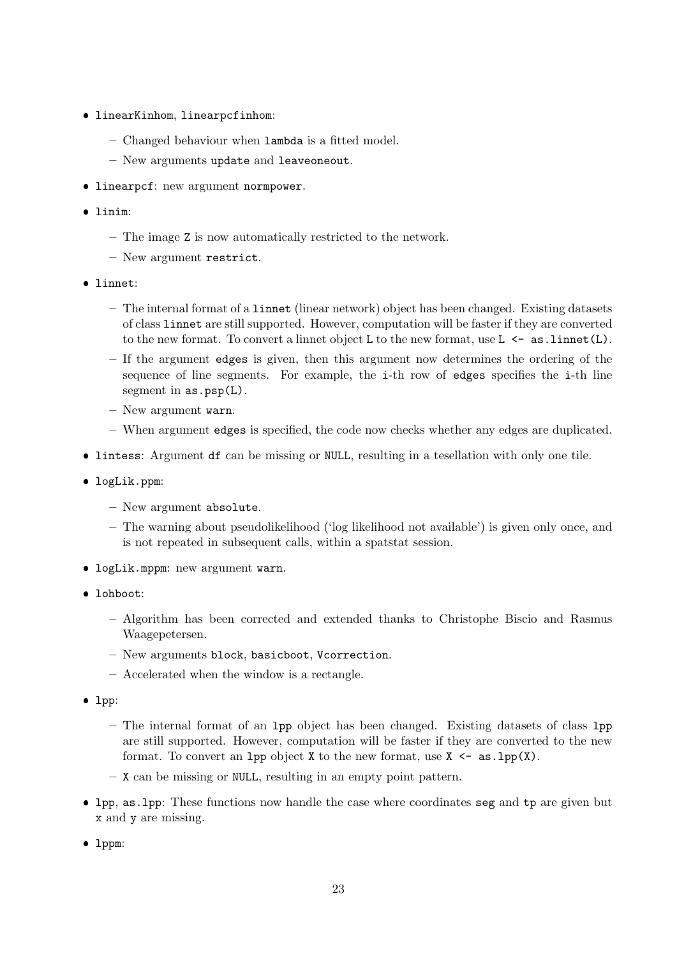- linearKinhom, linearpcfinhom:
	- Changed behaviour when lambda is a fitted model.
	- New arguments update and leaveoneout.
- linearpcf: new argument normpower.
- linim:
	- The image Z is now automatically restricted to the network.
	- New argument restrict.
- linnet:
	- The internal format of a linnet (linear network) object has been changed. Existing datasets of class linnet are still supported. However, computation will be faster if they are converted to the new format. To convert a linnet object L to the new format, use  $L \leftarrow \texttt{as.linnet}(L)$ .
	- If the argument edges is given, then this argument now determines the ordering of the sequence of line segments. For example, the i-th row of edges specifies the i-th line segment in  $as.psp(L)$ .
	- New argument warn.
	- When argument edges is specified, the code now checks whether any edges are duplicated.
- lintess: Argument df can be missing or NULL, resulting in a tesellation with only one tile.
- logLik.ppm:
	- New argument absolute.
	- The warning about pseudolikelihood ('log likelihood not available') is given only once, and is not repeated in subsequent calls, within a spatstat session.
- logLik.mppm: new argument warn.
- lohboot:
	- Algorithm has been corrected and extended thanks to Christophe Biscio and Rasmus Waagepetersen.
	- New arguments block, basicboot, Vcorrection.
	- Accelerated when the window is a rectangle.
- lpp:
	- The internal format of an lpp object has been changed. Existing datasets of class lpp are still supported. However, computation will be faster if they are converted to the new format. To convert an 1pp object X to the new format, use  $X \leq -a s \cdot 1$  (X).
	- X can be missing or NULL, resulting in an empty point pattern.
- lpp, as.lpp: These functions now handle the case where coordinates seg and tp are given but x and y are missing.
- lppm: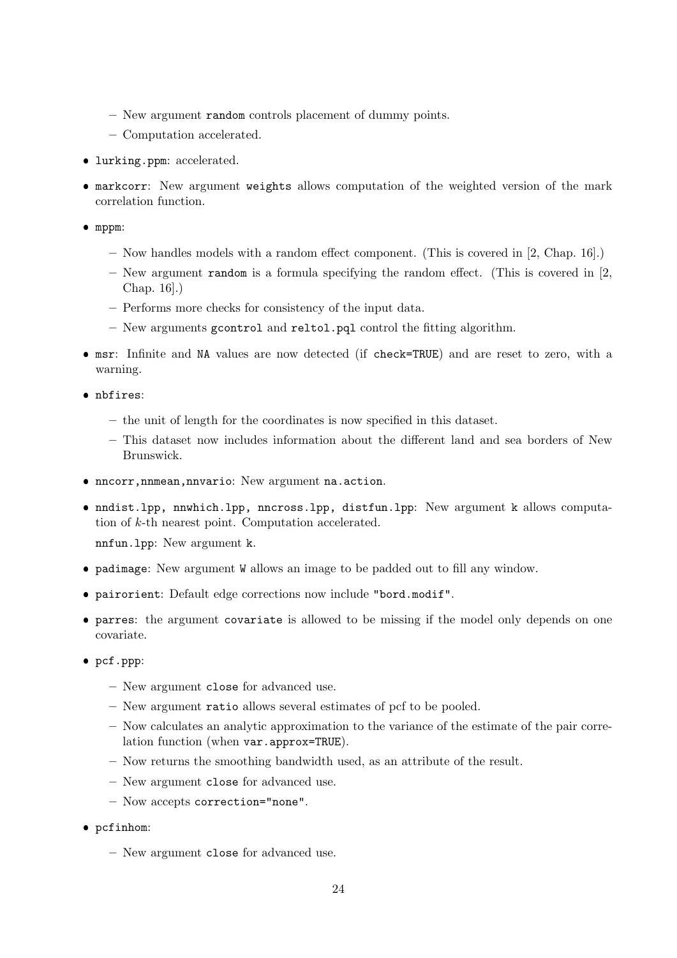- New argument random controls placement of dummy points.
- Computation accelerated.
- lurking.ppm: accelerated.
- markcorr: New argument weights allows computation of the weighted version of the mark correlation function.

mppm:

- Now handles models with a random effect component. (This is covered in [2, Chap. 16].)
- $-$  New argument random is a formula specifying the random effect. (This is covered in [2, Chap. 16].)
- Performs more checks for consistency of the input data.
- New arguments gcontrol and reltol.pql control the fitting algorithm.
- msr: Infinite and NA values are now detected (if check=TRUE) and are reset to zero, with a warning.
- nbfires:
	- the unit of length for the coordinates is now specified in this dataset.
	- This dataset now includes information about the different land and sea borders of New Brunswick.
- nncorr,nnmean,nnvario: New argument na.action.
- nndist.lpp, nnwhich.lpp, nncross.lpp, distfun.lpp: New argument k allows computation of k-th nearest point. Computation accelerated.

nnfun.lpp: New argument k.

- padimage: New argument W allows an image to be padded out to fill any window.
- pairorient: Default edge corrections now include "bord.modif".
- parres: the argument covariate is allowed to be missing if the model only depends on one covariate.
- pcf.ppp:
	- New argument close for advanced use.
	- New argument ratio allows several estimates of pcf to be pooled.
	- Now calculates an analytic approximation to the variance of the estimate of the pair correlation function (when var.approx=TRUE).
	- Now returns the smoothing bandwidth used, as an attribute of the result.
	- New argument close for advanced use.
	- Now accepts correction="none".
- pcfinhom:
	- New argument close for advanced use.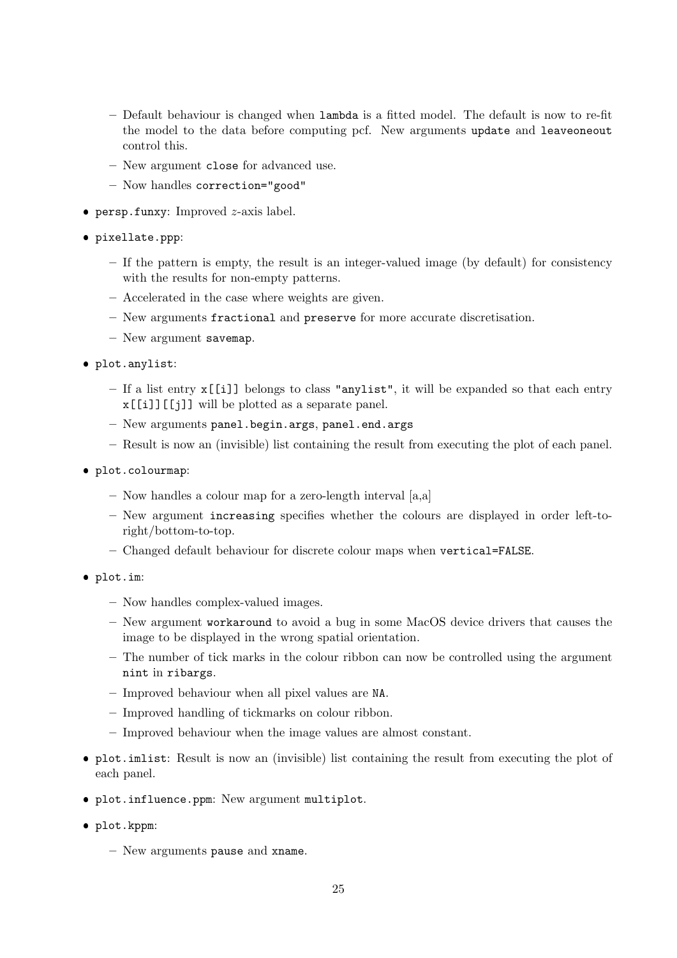- Default behaviour is changed when lambda is a fitted model. The default is now to re-fit the model to the data before computing pcf. New arguments update and leaveoneout control this.
- New argument close for advanced use.
- Now handles correction="good"
- $\bullet$  persp.funxy: Improved  $z$ -axis label.
- pixellate.ppp:
	- If the pattern is empty, the result is an integer-valued image (by default) for consistency with the results for non-empty patterns.
	- Accelerated in the case where weights are given.
	- New arguments fractional and preserve for more accurate discretisation.
	- New argument savemap.
- plot.anylist:
	- If a list entry x[[i]] belongs to class "anylist", it will be expanded so that each entry x[[i]][[j]] will be plotted as a separate panel.
	- New arguments panel.begin.args, panel.end.args
	- Result is now an (invisible) list containing the result from executing the plot of each panel.
- plot.colourmap:
	- Now handles a colour map for a zero-length interval [a,a]
	- New argument increasing specifies whether the colours are displayed in order left-toright/bottom-to-top.
	- Changed default behaviour for discrete colour maps when vertical=FALSE.
- plot.im:
	- Now handles complex-valued images.
	- New argument workaround to avoid a bug in some MacOS device drivers that causes the image to be displayed in the wrong spatial orientation.
	- The number of tick marks in the colour ribbon can now be controlled using the argument nint in ribargs.
	- Improved behaviour when all pixel values are NA.
	- Improved handling of tickmarks on colour ribbon.
	- Improved behaviour when the image values are almost constant.
- plot.imlist: Result is now an (invisible) list containing the result from executing the plot of each panel.
- plot.influence.ppm: New argument multiplot.
- plot.kppm:
	- New arguments pause and xname.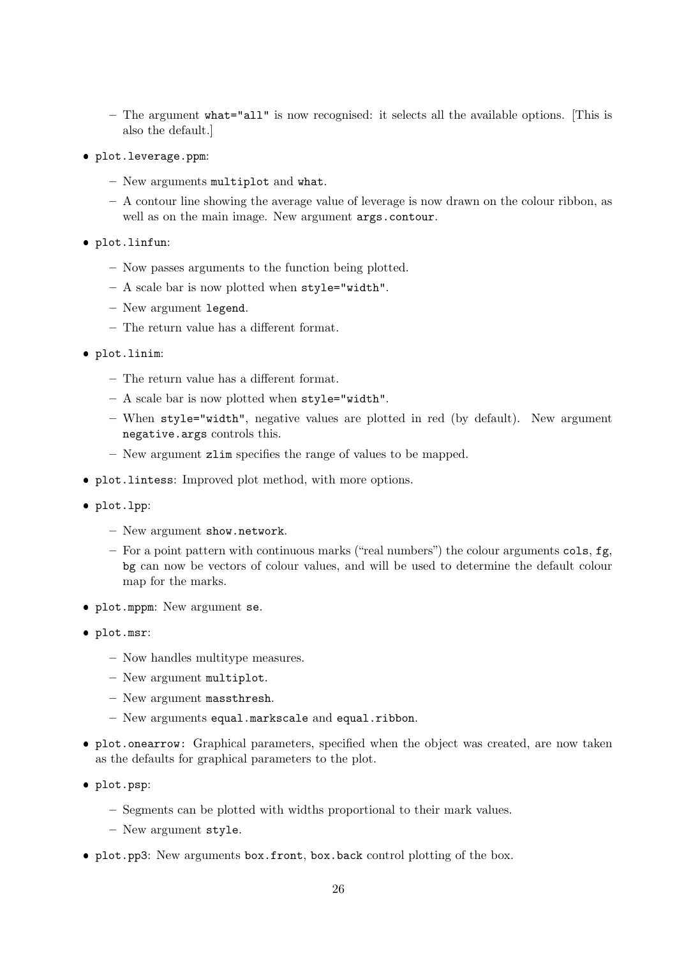- The argument what="all" is now recognised: it selects all the available options. [This is also the default.]
- plot.leverage.ppm:
	- New arguments multiplot and what.
	- A contour line showing the average value of leverage is now drawn on the colour ribbon, as well as on the main image. New argument args.contour.
- plot.linfun:
	- Now passes arguments to the function being plotted.
	- A scale bar is now plotted when style="width".
	- New argument legend.
	- The return value has a different format.
- plot.linim:
	- The return value has a different format.
	- A scale bar is now plotted when style="width".
	- When style="width", negative values are plotted in red (by default). New argument negative.args controls this.
	- New argument zlim specifies the range of values to be mapped.
- plot.lintess: Improved plot method, with more options.
- plot.lpp:
	- New argument show.network.
	- $-$  For a point pattern with continuous marks ("real numbers") the colour arguments cols, fg, bg can now be vectors of colour values, and will be used to determine the default colour map for the marks.
- plot.mppm: New argument se.
- plot.msr:
	- Now handles multitype measures.
	- New argument multiplot.
	- New argument massthresh.
	- New arguments equal.markscale and equal.ribbon.
- plot.onearrow: Graphical parameters, specified when the object was created, are now taken as the defaults for graphical parameters to the plot.
- plot.psp:
	- Segments can be plotted with widths proportional to their mark values.
	- New argument style.
- plot.pp3: New arguments box.front, box.back control plotting of the box.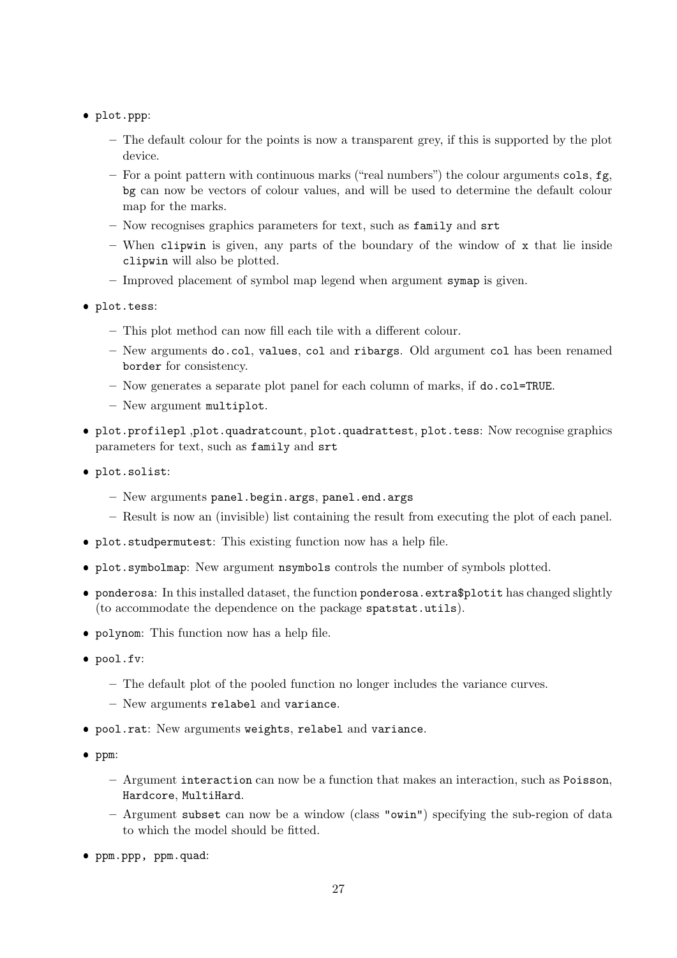- plot.ppp:
	- The default colour for the points is now a transparent grey, if this is supported by the plot device.
	- $-$  For a point pattern with continuous marks ("real numbers") the colour arguments cols, fg, bg can now be vectors of colour values, and will be used to determine the default colour map for the marks.
	- Now recognises graphics parameters for text, such as family and srt
	- When clipwin is given, any parts of the boundary of the window of  $x$  that lie inside clipwin will also be plotted.
	- Improved placement of symbol map legend when argument symap is given.
- plot.tess:
	- This plot method can now fill each tile with a different colour.
	- New arguments do.col, values, col and ribargs. Old argument col has been renamed border for consistency.
	- Now generates a separate plot panel for each column of marks, if do.col=TRUE.
	- New argument multiplot.
- plot.profilepl ,plot.quadratcount, plot.quadrattest, plot.tess: Now recognise graphics parameters for text, such as family and srt
- plot.solist:
	- New arguments panel.begin.args, panel.end.args
	- Result is now an (invisible) list containing the result from executing the plot of each panel.
- plot.studpermutest: This existing function now has a help file.
- plot.symbolmap: New argument nsymbols controls the number of symbols plotted.
- ponderosa: In this installed dataset, the function ponderosa.extra\$plotit has changed slightly (to accommodate the dependence on the package spatstat.utils).
- polynom: This function now has a help file.
- pool.fv:
	- The default plot of the pooled function no longer includes the variance curves.
	- New arguments relabel and variance.
- pool.rat: New arguments weights, relabel and variance.
- ppm:
	- Argument interaction can now be a function that makes an interaction, such as Poisson, Hardcore, MultiHard.
	- Argument subset can now be a window (class "owin") specifying the sub-region of data to which the model should be fitted.
- ppm.ppp, ppm.quad: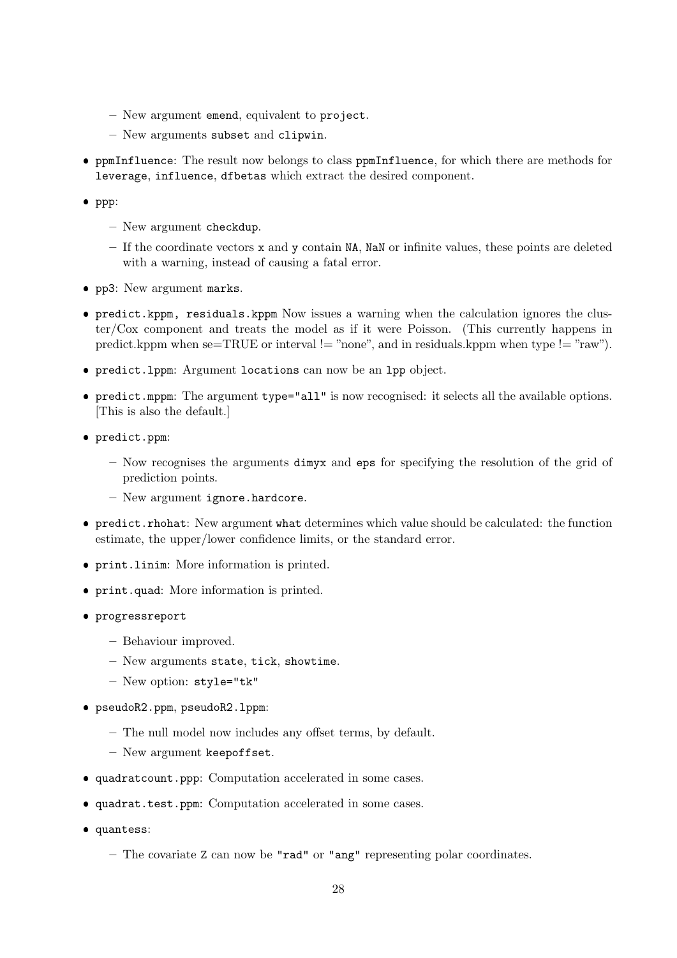- New argument emend, equivalent to project.
- New arguments subset and clipwin.
- ppmInfluence: The result now belongs to class ppmInfluence, for which there are methods for leverage, influence, dfbetas which extract the desired component.
- $\bullet$  ppp:
	- New argument checkdup.
	- If the coordinate vectors x and y contain NA, NaN or infinite values, these points are deleted with a warning, instead of causing a fatal error.
- pp3: New argument marks.
- predict.kppm, residuals.kppm Now issues a warning when the calculation ignores the cluster/Cox component and treats the model as if it were Poisson. (This currently happens in predict.kppm when se=TRUE or interval != "none", and in residuals.kppm when type != "raw").
- predict.lppm: Argument locations can now be an lpp object.
- predict.mppm: The argument type="all" is now recognised: it selects all the available options. [This is also the default.]
- predict.ppm:
	- Now recognises the arguments dimyx and eps for specifying the resolution of the grid of prediction points.
	- New argument ignore.hardcore.
- predict.rhohat: New argument what determines which value should be calculated: the function estimate, the upper/lower confidence limits, or the standard error.
- print.linim: More information is printed.
- print.quad: More information is printed.
- progressreport
	- Behaviour improved.
	- New arguments state, tick, showtime.
	- New option: style="tk"
- pseudoR2.ppm, pseudoR2.lppm:
	- The null model now includes any offset terms, by default.
	- New argument keepoffset.
- quadratcount.ppp: Computation accelerated in some cases.
- quadrat.test.ppm: Computation accelerated in some cases.
- quantess:
	- The covariate Z can now be "rad" or "ang" representing polar coordinates.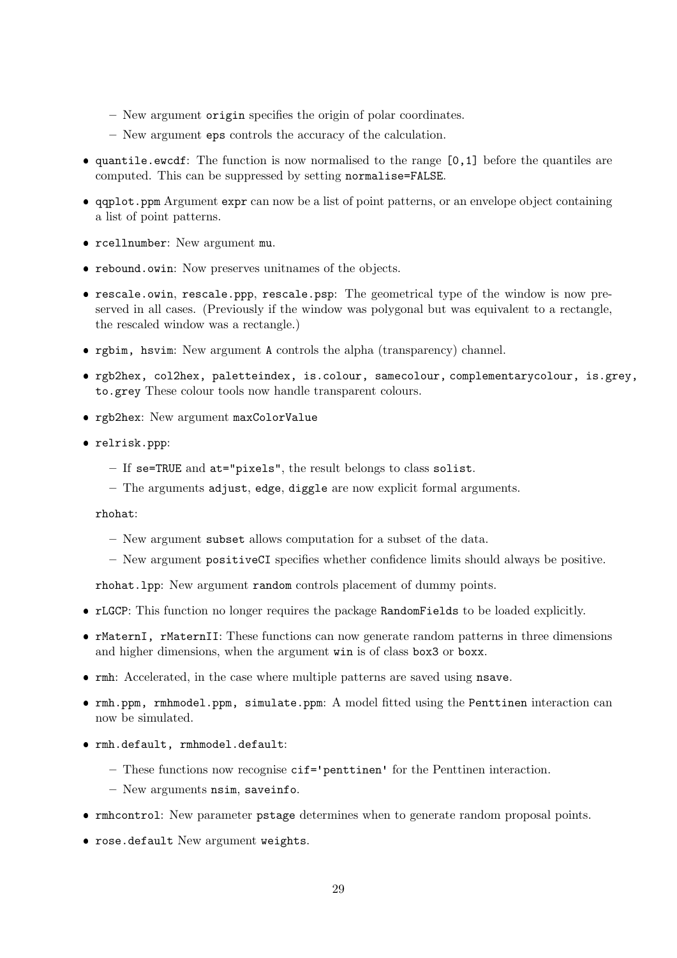- New argument origin specifies the origin of polar coordinates.
- New argument eps controls the accuracy of the calculation.
- quantile.ewcdf: The function is now normalised to the range [0,1] before the quantiles are computed. This can be suppressed by setting normalise=FALSE.
- qqplot.ppm Argument expr can now be a list of point patterns, or an envelope object containing a list of point patterns.
- rcellnumber: New argument mu.
- rebound.owin: Now preserves unitnames of the objects.
- rescale.owin, rescale.ppp, rescale.psp: The geometrical type of the window is now preserved in all cases. (Previously if the window was polygonal but was equivalent to a rectangle, the rescaled window was a rectangle.)
- rgbim, hsvim: New argument A controls the alpha (transparency) channel.
- rgb2hex, col2hex, paletteindex, is.colour, samecolour, complementarycolour, is.grey, to.grey These colour tools now handle transparent colours.
- rgb2hex: New argument maxColorValue
- relrisk.ppp:
	- If se=TRUE and at="pixels", the result belongs to class solist.
	- The arguments adjust, edge, diggle are now explicit formal arguments.

rhohat:

- New argument subset allows computation for a subset of the data.
- New argument positiveCI specifies whether confidence limits should always be positive.

rhohat.lpp: New argument random controls placement of dummy points.

- rLGCP: This function no longer requires the package RandomFields to be loaded explicitly.
- rMaternI, rMaternII: These functions can now generate random patterns in three dimensions and higher dimensions, when the argument win is of class box3 or boxx.
- rmh: Accelerated, in the case where multiple patterns are saved using nsave.
- rmh.ppm, rmhmodel.ppm, simulate.ppm: A model fitted using the Penttinen interaction can now be simulated.
- rmh.default, rmhmodel.default:
	- These functions now recognise cif='penttinen' for the Penttinen interaction.
	- New arguments nsim, saveinfo.
- rmhcontrol: New parameter pstage determines when to generate random proposal points.
- rose.default New argument weights.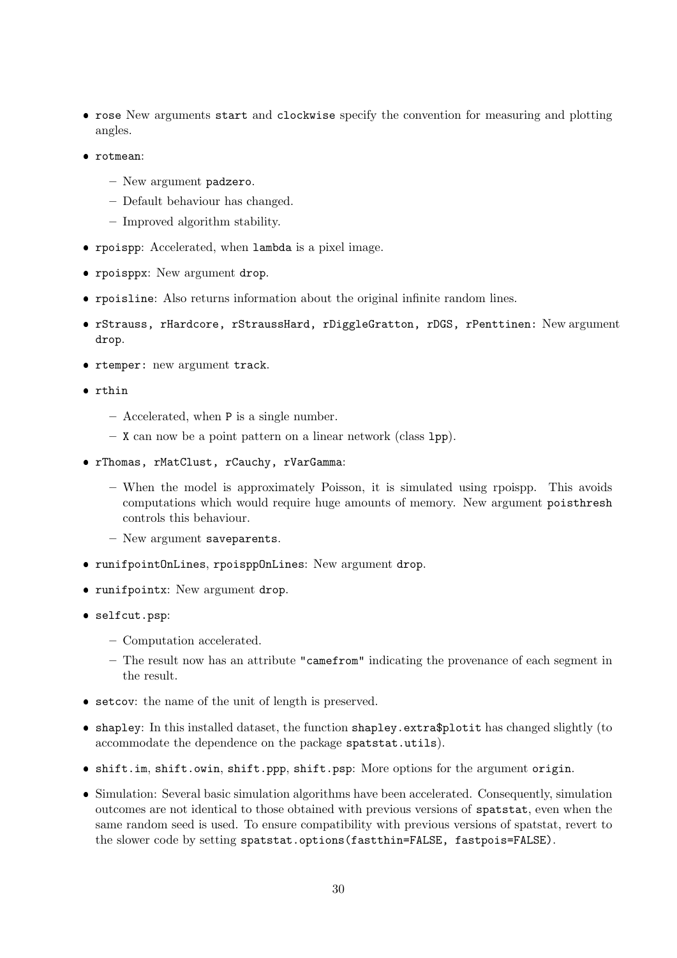- rose New arguments start and clockwise specify the convention for measuring and plotting angles.
- rotmean:
	- New argument padzero.
	- Default behaviour has changed.
	- Improved algorithm stability.
- rpoispp: Accelerated, when lambda is a pixel image.
- rpoisppx: New argument drop.
- rpoisline: Also returns information about the original infinite random lines.
- rStrauss, rHardcore, rStraussHard, rDiggleGratton, rDGS, rPenttinen: New argument drop.
- rtemper: new argument track.
- rthin
	- Accelerated, when P is a single number.
	- X can now be a point pattern on a linear network (class lpp).
- rThomas, rMatClust, rCauchy, rVarGamma:
	- When the model is approximately Poisson, it is simulated using rpoispp. This avoids computations which would require huge amounts of memory. New argument poisthresh controls this behaviour.
	- New argument saveparents.
- runifpointOnLines, rpoisppOnLines: New argument drop.
- runifpointx: New argument drop.
- selfcut.psp:
	- Computation accelerated.
	- The result now has an attribute "camefrom" indicating the provenance of each segment in the result.
- setcov: the name of the unit of length is preserved.
- shapley: In this installed dataset, the function shapley.extra\$plotit has changed slightly (to accommodate the dependence on the package spatstat.utils).
- shift.im, shift.owin, shift.ppp, shift.psp: More options for the argument origin.
- Simulation: Several basic simulation algorithms have been accelerated. Consequently, simulation outcomes are not identical to those obtained with previous versions of spatstat, even when the same random seed is used. To ensure compatibility with previous versions of spatstat, revert to the slower code by setting spatstat.options(fastthin=FALSE, fastpois=FALSE).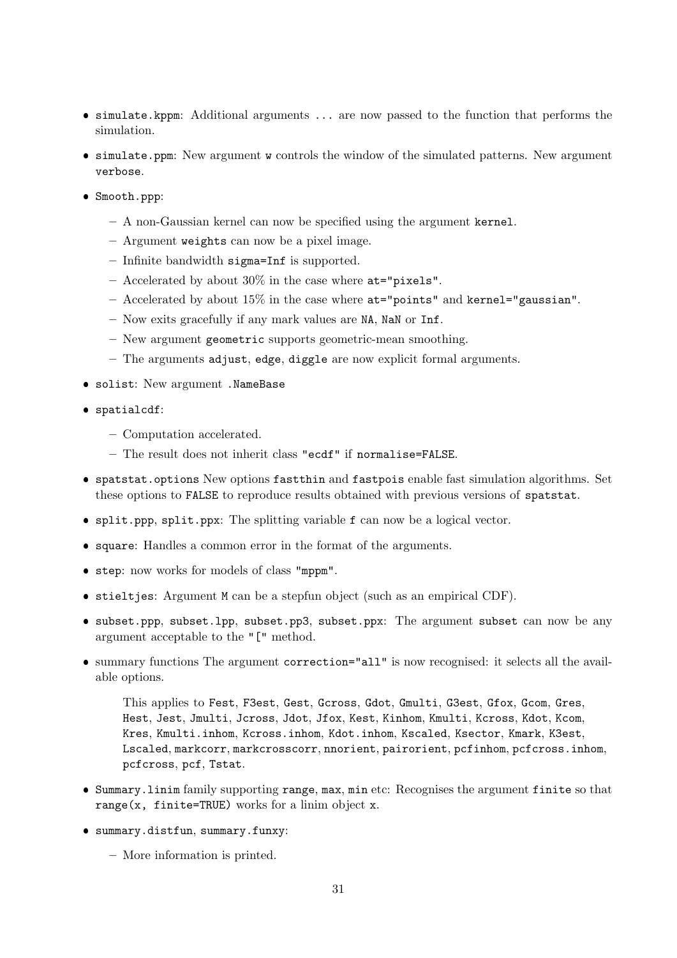- simulate.kppm: Additional arguments ... are now passed to the function that performs the simulation.
- simulate.ppm: New argument w controls the window of the simulated patterns. New argument verbose.
- Smooth.ppp:
	- A non-Gaussian kernel can now be specified using the argument kernel.
	- Argument weights can now be a pixel image.
	- Infinite bandwidth sigma=Inf is supported.
	- $-$  Accelerated by about 30% in the case where  $at="pixels"$ .
	- $-$  Accelerated by about 15% in the case where  $at="points"$  and kernel="gaussian".
	- Now exits gracefully if any mark values are NA, NaN or Inf.
	- New argument geometric supports geometric-mean smoothing.
	- $-$  The arguments adjust, edge, diggle are now explicit formal arguments.
- solist: New argument .NameBase
- spatialcdf:
	- Computation accelerated.
	- The result does not inherit class "ecdf" if normalise=FALSE.
- spatstat.options New options fastthin and fastpois enable fast simulation algorithms. Set these options to FALSE to reproduce results obtained with previous versions of spatstat.
- split.ppp, split.ppx: The splitting variable f can now be a logical vector.
- square: Handles a common error in the format of the arguments.
- step: now works for models of class "mppm".
- stieltjes: Argument M can be a stepfun object (such as an empirical CDF).
- subset.ppp, subset.lpp, subset.pp3, subset.ppx: The argument subset can now be any argument acceptable to the "[" method.
- summary functions The argument correction="all" is now recognised: it selects all the available options.

This applies to Fest, F3est, Gest, Gcross, Gdot, Gmulti, G3est, Gfox, Gcom, Gres, Hest, Jest, Jmulti, Jcross, Jdot, Jfox, Kest, Kinhom, Kmulti, Kcross, Kdot, Kcom, Kres, Kmulti.inhom, Kcross.inhom, Kdot.inhom, Kscaled, Ksector, Kmark, K3est, Lscaled, markcorr, markcrosscorr, nnorient, pairorient, pcfinhom, pcfcross.inhom, pcfcross, pcf, Tstat.

- Summary.linim family supporting range, max, min etc: Recognises the argument finite so that range(x, finite=TRUE) works for a linim object x.
- summary.distfun, summary.funxy:
	- More information is printed.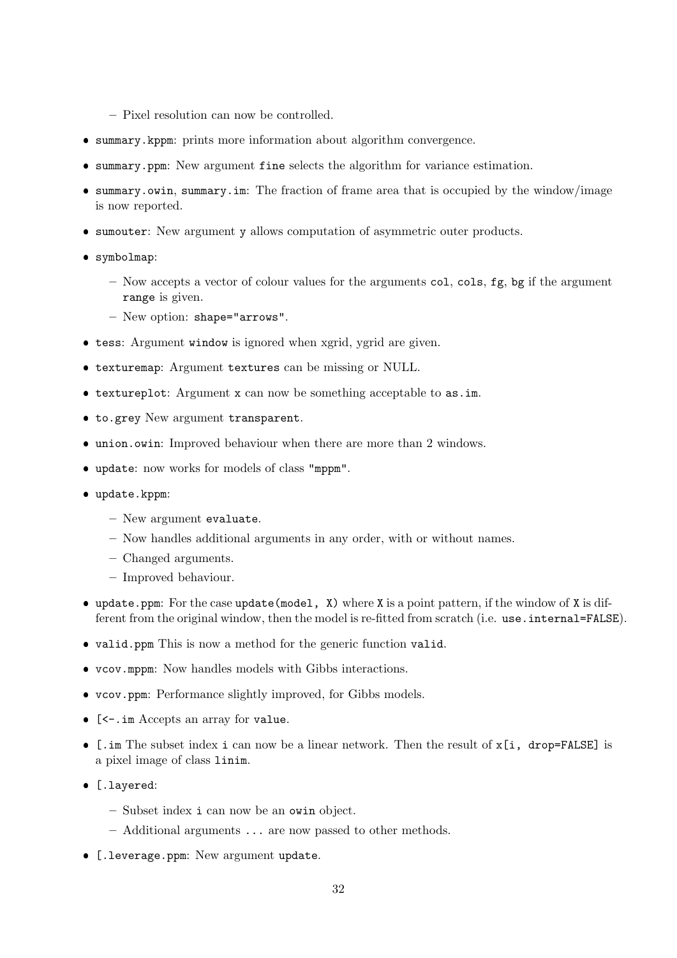- Pixel resolution can now be controlled.
- summary.kppm: prints more information about algorithm convergence.
- summary.ppm: New argument fine selects the algorithm for variance estimation.
- summary.owin, summary.im: The fraction of frame area that is occupied by the window/image is now reported.
- sumouter: New argument y allows computation of asymmetric outer products.
- symbolmap:
	- Now accepts a vector of colour values for the arguments col, cols, fg, bg if the argument range is given.
	- New option: shape="arrows".
- tess: Argument window is ignored when xgrid, ygrid are given.
- texturemap: Argument textures can be missing or NULL.
- textureplot: Argument x can now be something acceptable to as.im.
- to.grey New argument transparent.
- union.owin: Improved behaviour when there are more than 2 windows.
- update: now works for models of class "mppm".
- update.kppm:
	- New argument evaluate.
	- Now handles additional arguments in any order, with or without names.
	- Changed arguments.
	- Improved behaviour.
- update.ppm: For the case update(model, X) where X is a point pattern, if the window of X is different from the original window, then the model is re-fitted from scratch (i.e. use.internal=FALSE).
- valid.ppm This is now a method for the generic function valid.
- vcov.mppm: Now handles models with Gibbs interactions.
- vcov.ppm: Performance slightly improved, for Gibbs models.
- [<-.im Accepts an array for value.
- [.im The subset index i can now be a linear network. Then the result of x[i, drop=FALSE] is a pixel image of class linim.
- [.layered:
	- Subset index i can now be an owin object.
	- Additional arguments ... are now passed to other methods.
- **•** [.leverage.ppm: New argument update.